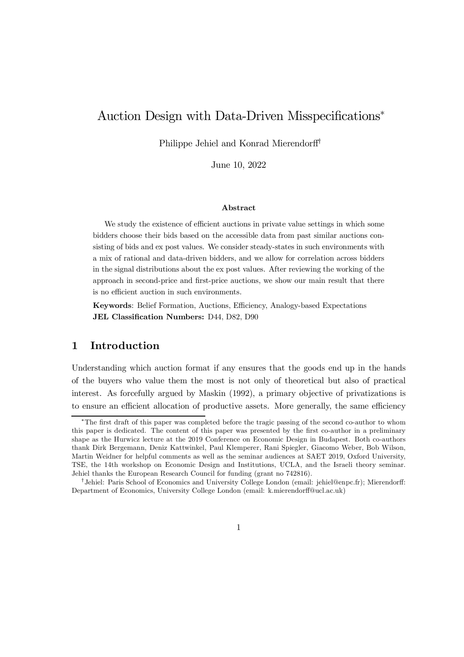# Auction Design with Data-Driven Misspecifications<sup>\*</sup>

Philippe Jehiel and Konrad Mierendorff<sup>†</sup>

June 10, 2022

#### Abstract

We study the existence of efficient auctions in private value settings in which some bidders choose their bids based on the accessible data from past similar auctions consisting of bids and ex post values. We consider steady-states in such environments with a mix of rational and data-driven bidders, and we allow for correlation across bidders in the signal distributions about the ex post values. After reviewing the working of the approach in second-price and first-price auctions, we show our main result that there is no efficient auction in such environments.

Keywords: Belief Formation, Auctions, Efficiency, Analogy-based Expectations JEL Classification Numbers: D44, D82, D90

# 1 Introduction

Understanding which auction format if any ensures that the goods end up in the hands of the buyers who value them the most is not only of theoretical but also of practical interest. As forcefully argued by Maskin (1992), a primary objective of privatizations is to ensure an efficient allocation of productive assets. More generally, the same efficiency

<sup>¤</sup>The …rst draft of this paper was completed before the tragic passing of the second co-author to whom this paper is dedicated. The content of this paper was presented by the first co-author in a preliminary shape as the Hurwicz lecture at the 2019 Conference on Economic Design in Budapest. Both co-authors thank Dirk Bergemann, Deniz Kattwinkel, Paul Klemperer, Rani Spiegler, Giacomo Weber, Bob Wilson, Martin Weidner for helpful comments as well as the seminar audiences at SAET 2019, Oxford University, TSE, the 14th workshop on Economic Design and Institutions, UCLA, and the Israeli theory seminar. Jehiel thanks the European Research Council for funding (grant no 742816).

<sup>&</sup>lt;sup>†</sup> Jehiel: Paris School of Economics and University College London (email: jehiel@enpc.fr); Mierendorff: Department of Economics, University College London (email: k.mierendorff@ucl.ac.uk)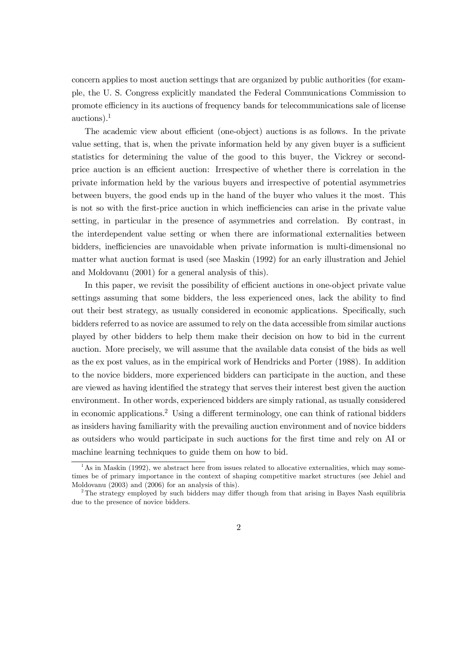concern applies to most auction settings that are organized by public authorities (for example, the U. S. Congress explicitly mandated the Federal Communications Commission to promote efficiency in its auctions of frequency bands for telecommunications sale of license auctions). 1

The academic view about efficient (one-object) auctions is as follows. In the private value setting, that is, when the private information held by any given buyer is a sufficient statistics for determining the value of the good to this buyer, the Vickrey or secondprice auction is an efficient auction: Irrespective of whether there is correlation in the private information held by the various buyers and irrespective of potential asymmetries between buyers, the good ends up in the hand of the buyer who values it the most. This is not so with the first-price auction in which inefficiencies can arise in the private value setting, in particular in the presence of asymmetries and correlation. By contrast, in the interdependent value setting or when there are informational externalities between bidders, inefficiencies are unavoidable when private information is multi-dimensional no matter what auction format is used (see Maskin (1992) for an early illustration and Jehiel and Moldovanu (2001) for a general analysis of this).

In this paper, we revisit the possibility of efficient auctions in one-object private value settings assuming that some bidders, the less experienced ones, lack the ability to find out their best strategy, as usually considered in economic applications. Specifically, such bidders referred to as novice are assumed to rely on the data accessible from similar auctions played by other bidders to help them make their decision on how to bid in the current auction. More precisely, we will assume that the available data consist of the bids as well as the ex post values, as in the empirical work of Hendricks and Porter (1988). In addition to the novice bidders, more experienced bidders can participate in the auction, and these are viewed as having identified the strategy that serves their interest best given the auction environment. In other words, experienced bidders are simply rational, as usually considered in economic applications.<sup>2</sup> Using a different terminology, one can think of rational bidders as insiders having familiarity with the prevailing auction environment and of novice bidders as outsiders who would participate in such auctions for the first time and rely on AI or machine learning techniques to guide them on how to bid.

 $1<sup>1</sup>$ As in Maskin (1992), we abstract here from issues related to allocative externalities, which may sometimes be of primary importance in the context of shaping competitive market structures (see Jehiel and Moldovanu (2003) and (2006) for an analysis of this).

<sup>&</sup>lt;sup>2</sup>The strategy employed by such bidders may differ though from that arising in Bayes Nash equilibria due to the presence of novice bidders.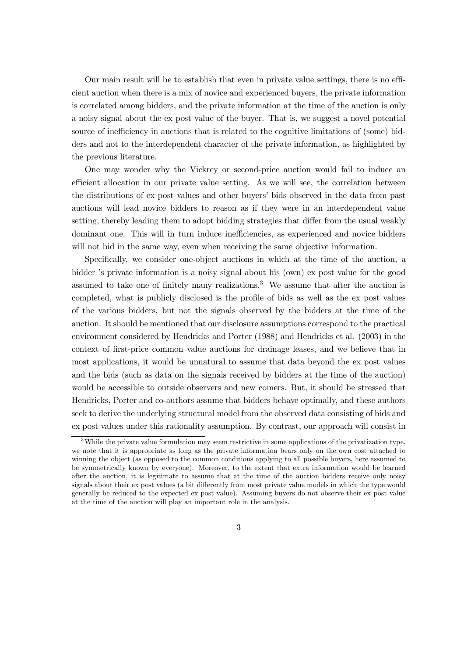Our main result will be to establish that even in private value settings, there is no efficient auction when there is a mix of novice and experienced buyers, the private information is correlated among bidders, and the private information at the time of the auction is only a noisy signal about the ex post value of the buyer. That is, we suggest a novel potential source of inefficiency in auctions that is related to the cognitive limitations of (some) bidders and not to the interdependent character of the private information, as highlighted by the previous literature.

One may wonder why the Vickrey or second-price auction would fail to induce an efficient allocation in our private value setting. As we will see, the correlation between the distributions of ex post values and other buyers' bids observed in the data from past auctions will lead novice bidders to reason as if they were in an interdependent value setting, thereby leading them to adopt bidding strategies that differ from the usual weakly dominant one. This will in turn induce inefficiencies, as experienced and novice bidders will not bid in the same way, even when receiving the same objective information.

Specifically, we consider one-object auctions in which at the time of the auction, a bidder 's private information is a noisy signal about his (own) ex post value for the good assumed to take one of finitely many realizations.<sup>3</sup> We assume that after the auction is completed, what is publicly disclosed is the profile of bids as well as the ex post values of the various bidders, but not the signals observed by the bidders at the time of the auction. It should be mentioned that our disclosure assumptions correspond to the practical environment considered by Hendricks and Porter (1988) and Hendricks et al. (2003) in the context of first-price common value auctions for drainage leases, and we believe that in most applications, it would be unnatural to assume that data beyond the ex post values and the bids (such as data on the signals received by bidders at the time of the auction) would be accessible to outside observers and new comers. But, it should be stressed that Hendricks, Porter and co-authors assume that bidders behave optimally, and these authors seek to derive the underlying structural model from the observed data consisting of bids and ex post values under this rationality assumption. By contrast, our approach will consist in

<sup>&</sup>lt;sup>3</sup>While the private value formulation may seem restrictive in some applications of the privatization type, we note that it is appropriate as long as the private information bears only on the own cost attached to winning the object (as opposed to the common conditions applying to all possible buyers, here assumed to be symmetrically known by everyone). Moreover, to the extent that extra information would be learned after the auction, it is legitimate to assume that at the time of the auction bidders receive only noisy signals about their ex post values (a bit differently from most private value models in which the type would generally be reduced to the expected ex post value). Assuming buyers do not observe their ex post value at the time of the auction will play an important role in the analysis.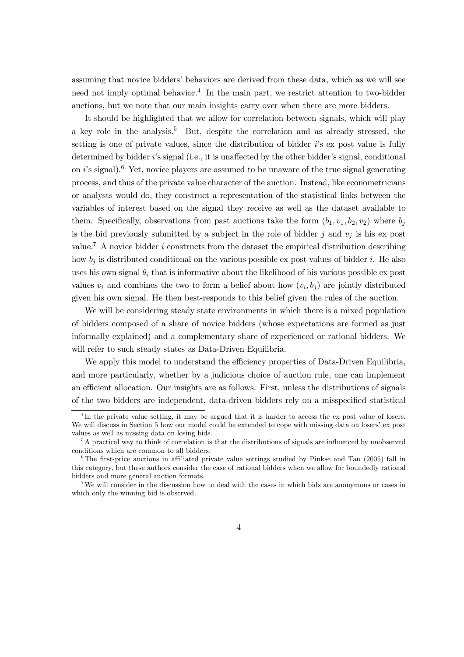assuming that novice bidders' behaviors are derived from these data, which as we will see need not imply optimal behavior. 4 In the main part, we restrict attention to two-bidder auctions, but we note that our main insights carry over when there are more bidders.

It should be highlighted that we allow for correlation between signals, which will play a key role in the analysis. <sup>5</sup> But, despite the correlation and as already stressed, the setting is one of private values, since the distribution of bidder is ex post value is fully determined by bidder  $i$ 's signal (i.e., it is unaffected by the other bidder's signal, conditional on  $i$ 's signal).<sup>6</sup> Yet, novice players are assumed to be unaware of the true signal generating process, and thus of the private value character of the auction. Instead, like econometricians or analysts would do, they construct a representation of the statistical links between the variables of interest based on the signal they receive as well as the dataset available to them. Specifically, observations from past auctions take the form  $(b_1, v_1, b_2, v_2)$  where  $b_j$ is the bid previously submitted by a subject in the role of bidder  $j$  and  $v_j$  is his ex post value.<sup>7</sup> A novice bidder *i* constructs from the dataset the empirical distribution describing how  $b_i$  is distributed conditional on the various possible ex post values of bidder i. He also uses his own signal  $\theta_i$  that is informative about the likelihood of his various possible ex post values  $v_i$  and combines the two to form a belief about how  $(v_i, b_j)$  are jointly distributed given his own signal. He then best-responds to this belief given the rules of the auction.

We will be considering steady state environments in which there is a mixed population of bidders composed of a share of novice bidders (whose expectations are formed as just informally explained) and a complementary share of experienced or rational bidders. We will refer to such steady states as Data-Driven Equilibria.

We apply this model to understand the efficiency properties of Data-Driven Equilibria, and more particularly, whether by a judicious choice of auction rule, one can implement an efficient allocation. Our insights are as follows. First, unless the distributions of signals of the two bidders are independent, data-driven bidders rely on a misspecified statistical

<sup>&</sup>lt;sup>4</sup>In the private value setting, it may be argued that it is harder to access the ex post value of losers. We will discuss in Section 5 how our model could be extended to cope with missing data on losers' ex post values as well as missing data on losing bids.

 $5A$  practical way to think of correlation is that the distributions of signals are influenced by unobserved conditions which are common to all bidders.

 $6$ The first-price auctions in affiliated private value settings studied by Pinkse and Tan (2005) fall in this category, but these authors consider the case of rational bidders when we allow for boundedly rational bidders and more general auction formats.

<sup>7</sup>We will consider in the discussion how to deal with the cases in which bids are anonymous or cases in which only the winning bid is observed.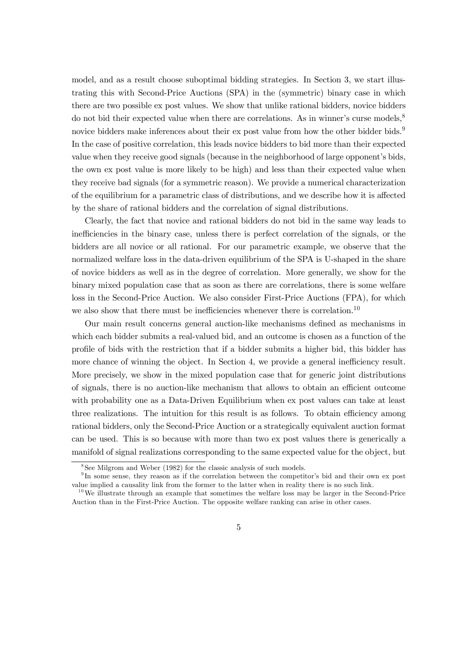model, and as a result choose suboptimal bidding strategies. In Section 3, we start illustrating this with Second-Price Auctions (SPA) in the (symmetric) binary case in which there are two possible ex post values. We show that unlike rational bidders, novice bidders do not bid their expected value when there are correlations. As in winner's curse models,<sup>8</sup> novice bidders make inferences about their ex post value from how the other bidder bids.<sup>9</sup> In the case of positive correlation, this leads novice bidders to bid more than their expected value when they receive good signals (because in the neighborhood of large opponent's bids, the own ex post value is more likely to be high) and less than their expected value when they receive bad signals (for a symmetric reason). We provide a numerical characterization of the equilibrium for a parametric class of distributions, and we describe how it is affected by the share of rational bidders and the correlation of signal distributions.

Clearly, the fact that novice and rational bidders do not bid in the same way leads to inefficiencies in the binary case, unless there is perfect correlation of the signals, or the bidders are all novice or all rational. For our parametric example, we observe that the normalized welfare loss in the data-driven equilibrium of the SPA is U-shaped in the share of novice bidders as well as in the degree of correlation. More generally, we show for the binary mixed population case that as soon as there are correlations, there is some welfare loss in the Second-Price Auction. We also consider First-Price Auctions (FPA), for which we also show that there must be inefficiencies whenever there is correlation.<sup>10</sup>

Our main result concerns general auction-like mechanisms defined as mechanisms in which each bidder submits a real-valued bid, and an outcome is chosen as a function of the pro…le of bids with the restriction that if a bidder submits a higher bid, this bidder has more chance of winning the object. In Section 4, we provide a general inefficiency result. More precisely, we show in the mixed population case that for generic joint distributions of signals, there is no auction-like mechanism that allows to obtain an efficient outcome with probability one as a Data-Driven Equilibrium when  $\exp(\cos \theta)$  values can take at least three realizations. The intuition for this result is as follows. To obtain efficiency among rational bidders, only the Second-Price Auction or a strategically equivalent auction format can be used. This is so because with more than two ex post values there is generically a manifold of signal realizations corresponding to the same expected value for the object, but

<sup>&</sup>lt;sup>8</sup>See Milgrom and Weber (1982) for the classic analysis of such models.

<sup>&</sup>lt;sup>9</sup>In some sense, they reason as if the correlation between the competitor's bid and their own ex post value implied a causality link from the former to the latter when in reality there is no such link.

 $10$ We illustrate through an example that sometimes the welfare loss may be larger in the Second-Price Auction than in the First-Price Auction. The opposite welfare ranking can arise in other cases.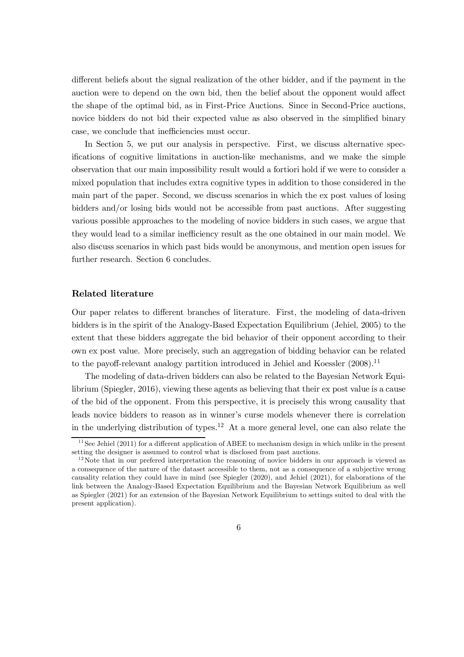different beliefs about the signal realization of the other bidder, and if the payment in the auction were to depend on the own bid, then the belief about the opponent would affect the shape of the optimal bid, as in First-Price Auctions. Since in Second-Price auctions, novice bidders do not bid their expected value as also observed in the simplified binary case, we conclude that inefficiencies must occur.

In Section 5, we put our analysis in perspective. First, we discuss alternative specifications of cognitive limitations in auction-like mechanisms, and we make the simple observation that our main impossibility result would a fortiori hold if we were to consider a mixed population that includes extra cognitive types in addition to those considered in the main part of the paper. Second, we discuss scenarios in which the ex post values of losing bidders and/or losing bids would not be accessible from past auctions. After suggesting various possible approaches to the modeling of novice bidders in such cases, we argue that they would lead to a similar inefficiency result as the one obtained in our main model. We also discuss scenarios in which past bids would be anonymous, and mention open issues for further research. Section 6 concludes.

## Related literature

Our paper relates to different branches of literature. First, the modeling of data-driven bidders is in the spirit of the Analogy-Based Expectation Equilibrium (Jehiel, 2005) to the extent that these bidders aggregate the bid behavior of their opponent according to their own ex post value. More precisely, such an aggregation of bidding behavior can be related to the payoff-relevant analogy partition introduced in Jehiel and Koessler  $(2008).$ <sup>11</sup>

The modeling of data-driven bidders can also be related to the Bayesian Network Equilibrium (Spiegler, 2016), viewing these agents as believing that their ex post value is a cause of the bid of the opponent. From this perspective, it is precisely this wrong causality that leads novice bidders to reason as in winner's curse models whenever there is correlation in the underlying distribution of types. <sup>12</sup> At a more general level, one can also relate the

<sup>&</sup>lt;sup>11</sup> See Jehiel (2011) for a different application of ABEE to mechanism design in which unlike in the present setting the designer is assumed to control what is disclosed from past auctions.

 $12$ Note that in our prefered interpretation the reasoning of novice bidders in our approach is viewed as a consequence of the nature of the dataset accessible to them, not as a consequence of a subjective wrong causality relation they could have in mind (see Spiegler (2020), and Jehiel (2021), for elaborations of the link between the Analogy-Based Expectation Equilibrium and the Bayesian Network Equilibrium as well as Spiegler (2021) for an extension of the Bayesian Network Equilibrium to settings suited to deal with the present application).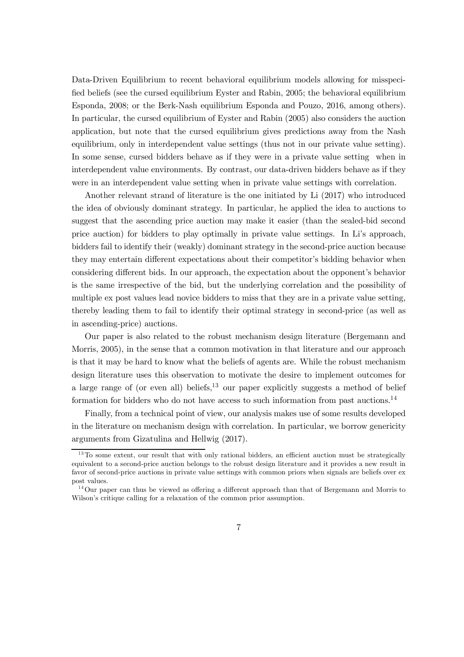Data-Driven Equilibrium to recent behavioral equilibrium models allowing for misspeci fied beliefs (see the cursed equilibrium Eyster and Rabin, 2005; the behavioral equilibrium Esponda, 2008; or the Berk-Nash equilibrium Esponda and Pouzo, 2016, among others). In particular, the cursed equilibrium of Eyster and Rabin (2005) also considers the auction application, but note that the cursed equilibrium gives predictions away from the Nash equilibrium, only in interdependent value settings (thus not in our private value setting). In some sense, cursed bidders behave as if they were in a private value setting when in interdependent value environments. By contrast, our data-driven bidders behave as if they were in an interdependent value setting when in private value settings with correlation.

Another relevant strand of literature is the one initiated by Li (2017) who introduced the idea of obviously dominant strategy. In particular, he applied the idea to auctions to suggest that the ascending price auction may make it easier (than the sealed-bid second price auction) for bidders to play optimally in private value settings. In Li's approach, bidders fail to identify their (weakly) dominant strategy in the second-price auction because they may entertain different expectations about their competitor's bidding behavior when considering different bids. In our approach, the expectation about the opponent's behavior is the same irrespective of the bid, but the underlying correlation and the possibility of multiple ex post values lead novice bidders to miss that they are in a private value setting, thereby leading them to fail to identify their optimal strategy in second-price (as well as in ascending-price) auctions.

Our paper is also related to the robust mechanism design literature (Bergemann and Morris, 2005), in the sense that a common motivation in that literature and our approach is that it may be hard to know what the beliefs of agents are. While the robust mechanism design literature uses this observation to motivate the desire to implement outcomes for a large range of (or even all) beliefs,<sup>13</sup> our paper explicitly suggests a method of belief formation for bidders who do not have access to such information from past auctions.<sup>14</sup>

Finally, from a technical point of view, our analysis makes use of some results developed in the literature on mechanism design with correlation. In particular, we borrow genericity arguments from Gizatulina and Hellwig (2017).

 $13$  To some extent, our result that with only rational bidders, an efficient auction must be strategically equivalent to a second-price auction belongs to the robust design literature and it provides a new result in favor of second-price auctions in private value settings with common priors when signals are beliefs over ex post values.

 $14$ Our paper can thus be viewed as offering a different approach than that of Bergemann and Morris to Wilson's critique calling for a relaxation of the common prior assumption.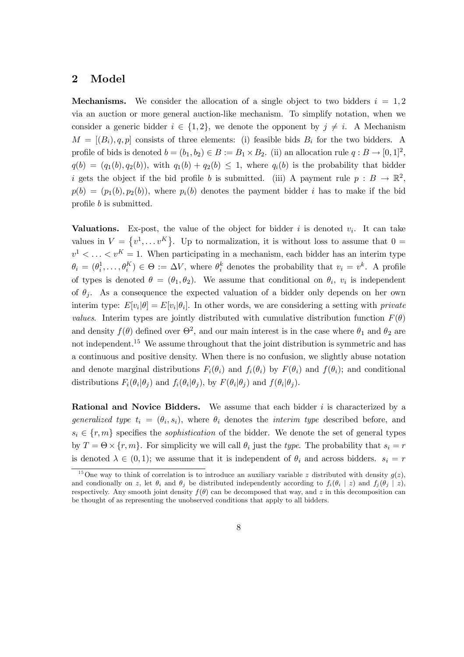## 2 Model

**Mechanisms.** We consider the allocation of a single object to two bidders  $i = 1, 2$ via an auction or more general auction-like mechanism. To simplify notation, when we consider a generic bidder  $i \in \{1,2\}$ , we denote the opponent by  $j \neq i$ . A Mechanism  $M = [(B_i), q, p]$  consists of three elements: (i) feasible bids  $B_i$  for the two bidders. A profile of bids is denoted  $b = (b_1, b_2) \in B := B_1 \times B_2$ . (ii) an allocation rule  $q : B \to [0, 1]^2$ ,  $q(b) = (q_1(b), q_2(b)),$  with  $q_1(b) + q_2(b) \leq 1$ , where  $q_i(b)$  is the probability that bidder i gets the object if the bid profile b is submitted. (iii) A payment rule  $p : B \to \mathbb{R}^2$ ,  $p(b) = (p_1(b), p_2(b))$ , where  $p_i(b)$  denotes the payment bidder *i* has to make if the bid profile  $b$  is submitted.

Valuations. Ex-post, the value of the object for bidder  $i$  is denoted  $v_i$ . It can take values in  $V = \{v^1, \ldots v^K\}$ . Up to normalization, it is without loss to assume that  $0 =$  $v^1 < \ldots < v^K = 1$ . When participating in a mechanism, each bidder has an interim type  $\theta_i = (\theta_i^1, \dots, \theta_i^K) \in \Theta := \Delta V$ , where  $\theta_i^k$  denotes the probability that  $v_i = v^k$ . A profile of types is denoted  $\theta = (\theta_1, \theta_2)$ . We assume that conditional on  $\theta_i$ ,  $v_i$  is independent of  $\theta_i$ . As a consequence the expected valuation of a bidder only depends on her own interim type:  $E[v_i|\theta] = E[v_i|\theta_i]$ . In other words, we are considering a setting with *private* values. Interim types are jointly distributed with cumulative distribution function  $F(\theta)$ and density  $f(\theta)$  defined over  $\Theta^2$ , and our main interest is in the case where  $\theta_1$  and  $\theta_2$  are not independent.<sup>15</sup> We assume throughout that the joint distribution is symmetric and has a continuous and positive density. When there is no confusion, we slightly abuse notation and denote marginal distributions  $F_i(\theta_i)$  and  $f_i(\theta_i)$  by  $F(\theta_i)$  and  $f(\theta_i)$ ; and conditional distributions  $F_i(\theta_i | \theta_j)$  and  $f_i(\theta_i | \theta_j)$ , by  $F(\theta_i | \theta_j)$  and  $f(\theta_i | \theta_j)$ .

**Rational and Novice Bidders.** We assume that each bidder  $i$  is characterized by a generalized type  $t_i = (\theta_i, s_i)$ , where  $\theta_i$  denotes the *interim type* described before, and  $s_i \in \{r, m\}$  specifies the *sophistication* of the bidder. We denote the set of general types by  $T = \Theta \times \{r, m\}$ . For simplicity we will call  $\theta_i$  just the type. The probability that  $s_i = r$ is denoted  $\lambda \in (0, 1)$ ; we assume that it is independent of  $\theta_i$  and across bidders.  $s_i = r$ 

<sup>&</sup>lt;sup>15</sup>One way to think of correlation is to introduce an auxiliary variable z distributed with density  $q(z)$ , and condionally on z, let  $\theta_i$  and  $\theta_j$  be distributed independently according to  $f_i(\theta_i \mid z)$  and  $f_j(\theta_j \mid z)$ , respectively. Any smooth joint density  $f(\theta)$  can be decomposed that way, and z in this decomposition can be thought of as representing the unobserved conditions that apply to all bidders.

<sup>8</sup>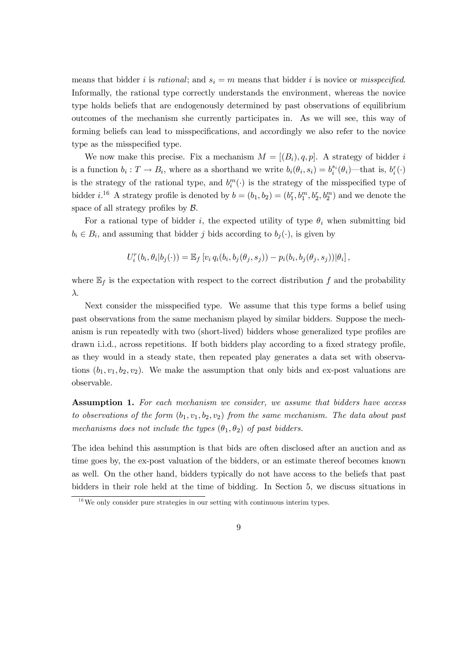means that bidder *i* is *rational*; and  $s_i = m$  means that bidder *i* is novice or *misspecified.* Informally, the rational type correctly understands the environment, whereas the novice type holds beliefs that are endogenously determined by past observations of equilibrium outcomes of the mechanism she currently participates in. As we will see, this way of forming beliefs can lead to misspecifications, and accordingly we also refer to the novice type as the misspecified type.

We now make this precise. Fix a mechanism  $M = [(B_i), q, p]$ . A strategy of bidder i is a function  $b_i: T \to B_i$ , where as a shorthand we write  $b_i(\theta_i, s_i) = b_i^{s_i}(\theta_i)$ —that is,  $b_i^r(\cdot)$ is the strategy of the rational type, and  $b_i^m(\cdot)$  is the strategy of the misspecified type of bidder *i*.<sup>16</sup> A strategy profile is denoted by  $b = (b_1, b_2) = (b_1^r, b_1^m, b_2^r, b_2^m)$  and we denote the space of all strategy profiles by  $\mathcal{B}$ .

For a rational type of bidder i, the expected utility of type  $\theta_i$  when submitting bid  $b_i \in B_i$ , and assuming that bidder j bids according to  $b_j(\cdot)$ , is given by

$$
U_i^r(b_i, \theta_i | b_j(\cdot)) = \mathbb{E}_f \left[ v_i q_i(b_i, b_j(\theta_j, s_j)) - p_i(b_i, b_j(\theta_j, s_j)) | \theta_i \right],
$$

where  $\mathbb{E}_f$  is the expectation with respect to the correct distribution  $f$  and the probability  $\lambda$ .

Next consider the misspecified type. We assume that this type forms a belief using past observations from the same mechanism played by similar bidders. Suppose the mechanism is run repeatedly with two (short-lived) bidders whose generalized type profiles are drawn i.i.d., across repetitions. If both bidders play according to a fixed strategy profile, as they would in a steady state, then repeated play generates a data set with observations  $(b_1, v_1, b_2, v_2)$ . We make the assumption that only bids and ex-post valuations are observable.

Assumption 1. For each mechanism we consider, we assume that bidders have access to observations of the form  $(b_1, v_1, b_2, v_2)$  from the same mechanism. The data about past mechanisms does not include the types  $(\theta_1, \theta_2)$  of past bidders.

The idea behind this assumption is that bids are often disclosed after an auction and as time goes by, the ex-post valuation of the bidders, or an estimate thereof becomes known as well. On the other hand, bidders typically do not have access to the beliefs that past bidders in their role held at the time of bidding. In Section 5, we discuss situations in

<sup>&</sup>lt;sup>16</sup>We only consider pure strategies in our setting with continuous interim types.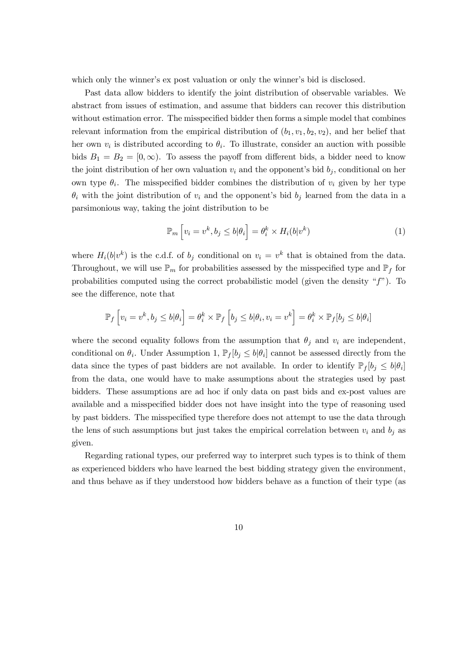which only the winner's ex post valuation or only the winner's bid is disclosed.

Past data allow bidders to identify the joint distribution of observable variables. We abstract from issues of estimation, and assume that bidders can recover this distribution without estimation error. The misspecified bidder then forms a simple model that combines relevant information from the empirical distribution of  $(b_1, v_1, b_2, v_2)$ , and her belief that her own  $v_i$  is distributed according to  $\theta_i$ . To illustrate, consider an auction with possible bids  $B_1 = B_2 = [0, \infty)$ . To assess the payoff from different bids, a bidder need to know the joint distribution of her own valuation  $v_i$  and the opponent's bid  $b_i$ , conditional on her own type  $\theta_i$ . The misspecified bidder combines the distribution of  $v_i$  given by her type  $\theta_i$  with the joint distribution of  $v_i$  and the opponent's bid  $b_j$  learned from the data in a parsimonious way, taking the joint distribution to be

$$
\mathbb{P}_m\left[v_i = v^k, b_j \le b | \theta_i\right] = \theta_i^k \times H_i(b | v^k)
$$
\n(1)

where  $H_i(b|v^k)$  is the c.d.f. of  $b_j$  conditional on  $v_i = v^k$  that is obtained from the data. Throughout, we will use  $\mathbb{P}_m$  for probabilities assessed by the misspecified type and  $\mathbb{P}_f$  for probabilities computed using the correct probabilistic model (given the density " $f$ "). To see the difference, note that

$$
\mathbb{P}_f\left[v_i=v^k,b_j\leq b|\theta_i\right]=\theta^k_i\times \mathbb{P}_f\left[b_j\leq b|\theta_i,v_i=v^k\right]=\theta^k_i\times \mathbb{P}_f[b_j\leq b|\theta_i]
$$

where the second equality follows from the assumption that  $\theta_j$  and  $v_i$  are independent, conditional on  $\theta_i$ . Under Assumption 1,  $\mathbb{P}_f[b_j \leq b | \theta_i]$  cannot be assessed directly from the data since the types of past bidders are not available. In order to identify  $\mathbb{P}_f[b_j \leq b | \theta_i]$ from the data, one would have to make assumptions about the strategies used by past bidders. These assumptions are ad hoc if only data on past bids and ex-post values are available and a misspecified bidder does not have insight into the type of reasoning used by past bidders. The misspecified type therefore does not attempt to use the data through the lens of such assumptions but just takes the empirical correlation between  $v_i$  and  $b_j$  as given.

Regarding rational types, our preferred way to interpret such types is to think of them as experienced bidders who have learned the best bidding strategy given the environment, and thus behave as if they understood how bidders behave as a function of their type (as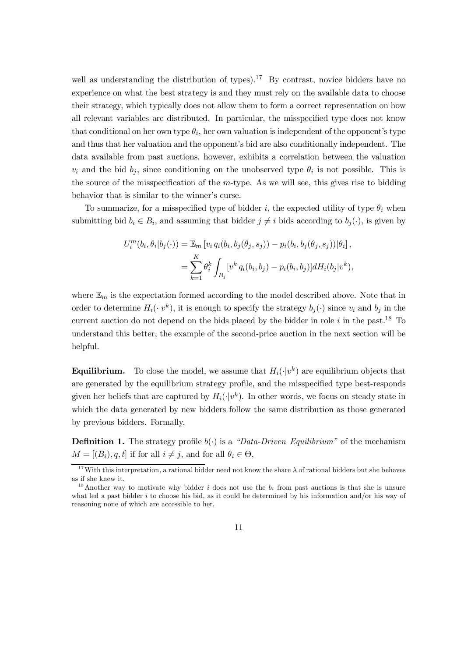well as understanding the distribution of types).<sup>17</sup> By contrast, novice bidders have no experience on what the best strategy is and they must rely on the available data to choose their strategy, which typically does not allow them to form a correct representation on how all relevant variables are distributed. In particular, the misspecified type does not know that conditional on her own type  $\theta_i$ , her own valuation is independent of the opponent's type and thus that her valuation and the opponent's bid are also conditionally independent. The data available from past auctions, however, exhibits a correlation between the valuation  $v_i$  and the bid  $b_j$ , since conditioning on the unobserved type  $\theta_i$  is not possible. This is the source of the misspecification of the  $m$ -type. As we will see, this gives rise to bidding behavior that is similar to the winner's curse.

To summarize, for a misspecified type of bidder i, the expected utility of type  $\theta_i$  when submitting bid  $b_i \in B_i$ , and assuming that bidder  $j \neq i$  bids according to  $b_j(\cdot)$ , is given by

$$
U_i^m(b_i, \theta_i | b_j(\cdot)) = \mathbb{E}_m \left[ v_i q_i(b_i, b_j(\theta_j, s_j)) - p_i(b_i, b_j(\theta_j, s_j)) | \theta_i \right],
$$
  
= 
$$
\sum_{k=1}^K \theta_i^k \int_{B_j} \left[ v^k q_i(b_i, b_j) - p_i(b_i, b_j) \right] dH_i(b_j | v^k),
$$

where  $\mathbb{E}_m$  is the expectation formed according to the model described above. Note that in order to determine  $H_i(\cdot|v^k)$ , it is enough to specify the strategy  $b_j(\cdot)$  since  $v_i$  and  $b_j$  in the current auction do not depend on the bids placed by the bidder in role  $i$  in the past.<sup>18</sup> To understand this better, the example of the second-price auction in the next section will be helpful.

**Equilibrium.** To close the model, we assume that  $H_i(\cdot|v^k)$  are equilibrium objects that are generated by the equilibrium strategy profile, and the misspecified type best-responds given her beliefs that are captured by  $H_i(\cdot|v^k)$ . In other words, we focus on steady state in which the data generated by new bidders follow the same distribution as those generated by previous bidders. Formally,

**Definition 1.** The strategy profile  $b(\cdot)$  is a "Data-Driven Equilibrium" of the mechanism  $M = [(B_i), q, t]$  if for all  $i \neq j$ , and for all  $\theta_i \in \Theta$ ,

<sup>&</sup>lt;sup>17</sup>With this interpretation, a rational bidder need not know the share  $\lambda$  of rational bidders but she behaves as if she knew it.

<sup>&</sup>lt;sup>18</sup> Another way to motivate why bidder *i* does not use the  $b_i$  from past auctions is that she is unsure what led a past bidder  $i$  to choose his bid, as it could be determined by his information and/or his way of reasoning none of which are accessible to her.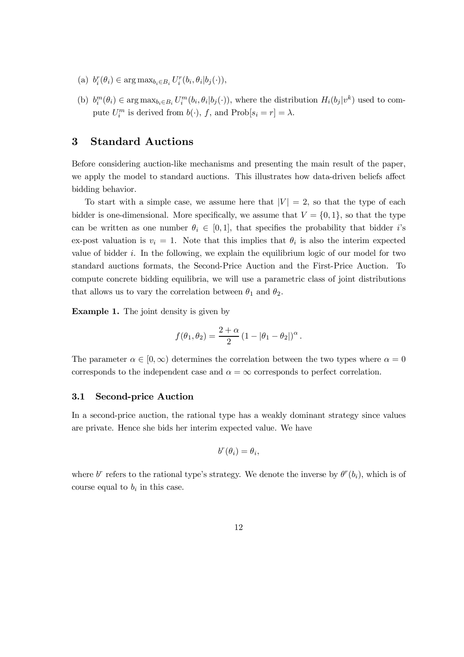- (a)  $b_i^r(\theta_i) \in \arg \max_{b_i \in B_i} U_i^r(b_i, \theta_i | b_j(\cdot)),$
- (b)  $b_i^m(\theta_i) \in \arg \max_{b_i \in B_i} U_i^m(b_i, \theta_i | b_j(\cdot))$ , where the distribution  $H_i(b_j | v^k)$  used to compute  $U_i^m$  is derived from  $b(\cdot)$ , f, and  $\text{Prob}[s_i = r] = \lambda$ .

# 3 Standard Auctions

Before considering auction-like mechanisms and presenting the main result of the paper, we apply the model to standard auctions. This illustrates how data-driven beliefs affect bidding behavior.

To start with a simple case, we assume here that  $|V| = 2$ , so that the type of each bidder is one-dimensional. More specifically, we assume that  $V = \{0, 1\}$ , so that the type can be written as one number  $\theta_i \in [0, 1]$ , that specifies the probability that bidder i's ex-post valuation is  $v_i = 1$ . Note that this implies that  $\theta_i$  is also the interim expected value of bidder  $i$ . In the following, we explain the equilibrium logic of our model for two standard auctions formats, the Second-Price Auction and the First-Price Auction. To compute concrete bidding equilibria, we will use a parametric class of joint distributions that allows us to vary the correlation between  $\theta_1$  and  $\theta_2$ .

Example 1. The joint density is given by

$$
f(\theta_1, \theta_2) = \frac{2 + \alpha}{2} (1 - |\theta_1 - \theta_2|)^{\alpha}.
$$

The parameter  $\alpha \in [0,\infty)$  determines the correlation between the two types where  $\alpha = 0$ corresponds to the independent case and  $\alpha = \infty$  corresponds to perfect correlation.

#### 3.1 Second-price Auction

In a second-price auction, the rational type has a weakly dominant strategy since values are private. Hence she bids her interim expected value. We have

$$
b^r(\theta_i) = \theta_i,
$$

where  $b^r$  refers to the rational type's strategy. We denote the inverse by  $\theta^r(b_i)$ , which is of course equal to  $b_i$  in this case.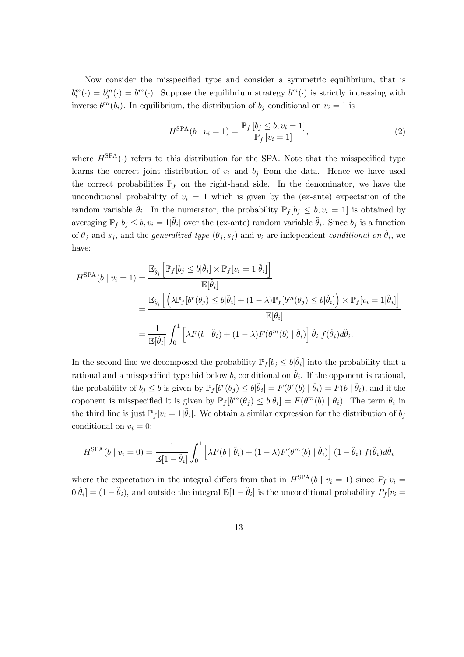Now consider the misspecified type and consider a symmetric equilibrium, that is  $b_i^m(\cdot) = b_j^m(\cdot) = b^m(\cdot)$ . Suppose the equilibrium strategy  $b^m(\cdot)$  is strictly increasing with inverse  $\theta^m(b_i)$ . In equilibrium, the distribution of  $b_j$  conditional on  $v_i = 1$  is

$$
H^{\text{SPA}}(b \mid v_i = 1) = \frac{\mathbb{P}_f \left[ b_j \le b, v_i = 1 \right]}{\mathbb{P}_f \left[ v_i = 1 \right]},\tag{2}
$$

where  $H^{\text{SPA}}(\cdot)$  refers to this distribution for the SPA. Note that the misspecified type learns the correct joint distribution of  $v_i$  and  $b_j$  from the data. Hence we have used the correct probabilities  $\mathbb{P}_f$  on the right-hand side. In the denominator, we have the unconditional probability of  $v_i = 1$  which is given by the (ex-ante) expectation of the random variable  $\tilde{\theta}_i$ . In the numerator, the probability  $\mathbb{P}_f[b_j \leq b, v_i = 1]$  is obtained by averaging  $\mathbb{P}_f[b_j \leq b, v_i = 1 | \tilde{\theta}_i]$  over the (ex-ante) random variable  $\tilde{\theta}_i$ . Since  $b_j$  is a function of  $\theta_j$  and  $s_j$ , and the *generalized type*  $(\theta_j, s_j)$  and  $v_i$  are independent *conditional on*  $\tilde{\theta}_i$ , we have:

$$
H^{\text{SPA}}(b \mid v_i = 1) = \frac{\mathbb{E}_{\tilde{\theta}_i} \left[ \mathbb{P}_f[b_j \le b | \tilde{\theta}_i] \times \mathbb{P}_f[v_i = 1 | \tilde{\theta}_i] \right]}{\mathbb{E}[\tilde{\theta}_i]}
$$
  
= 
$$
\frac{\mathbb{E}_{\tilde{\theta}_i} \left[ \left( \lambda \mathbb{P}_f[b^r(\theta_j) \le b | \tilde{\theta}_i] + (1 - \lambda) \mathbb{P}_f[b^m(\theta_j) \le b | \tilde{\theta}_i] \right) \times \mathbb{P}_f[v_i = 1 | \tilde{\theta}_i] \right]}{\mathbb{E}[\tilde{\theta}_i]}
$$
  
= 
$$
\frac{1}{\mathbb{E}[\tilde{\theta}_i]} \int_0^1 \left[ \lambda F(b \mid \tilde{\theta}_i) + (1 - \lambda) F(\theta^m(b) \mid \tilde{\theta}_i) \right] \tilde{\theta}_i f(\tilde{\theta}_i) d\tilde{\theta}_i.
$$

In the second line we decomposed the probability  $\mathbb{P}_f[b_j \le b|\tilde{\theta}_i]$  into the probability that a rational and a misspecified type bid below b, conditional on  $\tilde{\theta}_i$ . If the opponent is rational, the probability of  $b_j \le b$  is given by  $\mathbb{P}_f[v^r(\theta_j) \le b|\tilde{\theta}_i] = F(\theta^r(b) | \tilde{\theta}_i) = F(b | \tilde{\theta}_i)$ , and if the opponent is misspecified it is given by  $\mathbb{P}_f[b^m(\theta_j) \leq b|\tilde{\theta}_i] = F(\theta^m(b) | \tilde{\theta}_i)$ . The term  $\tilde{\theta}_i$  in the third line is just  $\mathbb{P}_f[v_i = 1 | \tilde{\theta}_i]$ . We obtain a similar expression for the distribution of  $b_j$ conditional on  $v_i = 0$ :

$$
H^{\text{SPA}}(b \mid v_i = 0) = \frac{1}{\mathbb{E}[1 - \tilde{\theta}_i]} \int_0^1 \left[ \lambda F(b \mid \tilde{\theta}_i) + (1 - \lambda) F(\theta^m(b) \mid \tilde{\theta}_i) \right] (1 - \tilde{\theta}_i) f(\tilde{\theta}_i) d\tilde{\theta}_i
$$

where the expectation in the integral differs from that in  $H^{SPA}(b \mid v_i = 1)$  since  $P_f[v_i =$  $[0|\tilde{\theta}_i] = (1-\tilde{\theta}_i)$ , and outside the integral  $\mathbb{E}[1-\tilde{\theta}_i]$  is the unconditional probability  $P_f[v_i]$ 

13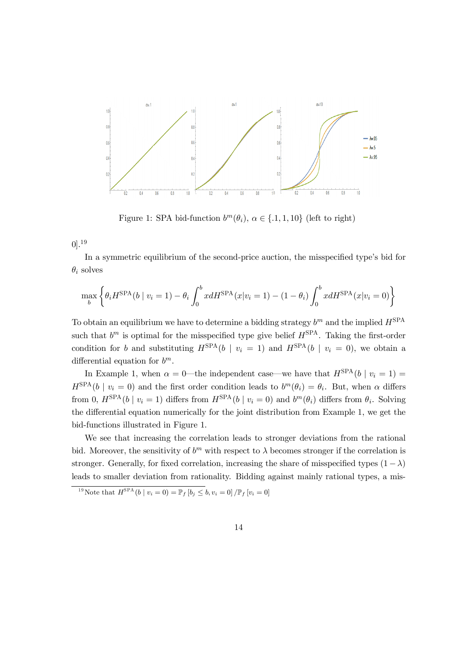

Figure 1: SPA bid-function  $b^m(\theta_i)$ ,  $\alpha \in \{.1, 1, 10\}$  (left to right)

 $0].^{19}$ 

In a symmetric equilibrium of the second-price auction, the misspecified type's bid for  $\theta_i$  solves

$$
\max_{b} \left\{ \theta_{i} H^{\text{SPA}}(b \mid v_{i} = 1) - \theta_{i} \int_{0}^{b} x dH^{\text{SPA}}(x | v_{i} = 1) - (1 - \theta_{i}) \int_{0}^{b} x dH^{\text{SPA}}(x | v_{i} = 0) \right\}
$$

To obtain an equilibrium we have to determine a bidding strategy  $b^m$  and the implied  $H^{\text{SPA}}$ such that  $b^m$  is optimal for the misspecified type give belief  $H^{\text{SPA}}$ . Taking the first-order condition for b and substituting  $H^{\text{SPA}}(b \mid v_i = 1)$  and  $H^{\text{SPA}}(b \mid v_i = 0)$ , we obtain a differential equation for  $b^m$ .

In Example 1, when  $\alpha = 0$ —the independent case—we have that  $H^{\text{SPA}}(b \mid v_i = 1)$  =  $H^{\text{SPA}}(b \mid v_i = 0)$  and the first order condition leads to  $b^m(\theta_i) = \theta_i$ . But, when  $\alpha$  differs from 0,  $H^{\text{SPA}}(b \mid v_i = 1)$  differs from  $H^{\text{SPA}}(b \mid v_i = 0)$  and  $b^m(\theta_i)$  differs from  $\theta_i$ . Solving the differential equation numerically for the joint distribution from Example 1, we get the bid-functions illustrated in Figure 1.

We see that increasing the correlation leads to stronger deviations from the rational bid. Moreover, the sensitivity of  $b^m$  with respect to  $\lambda$  becomes stronger if the correlation is stronger. Generally, for fixed correlation, increasing the share of misspecified types  $(1 - \lambda)$ leads to smaller deviation from rationality. Bidding against mainly rational types, a mis-

<sup>&</sup>lt;sup>19</sup> Note that  $H^{\text{SPA}}(b \mid v_i = 0) = \mathbb{P}_f [b_j \leq b, v_i = 0] / \mathbb{P}_f [v_i = 0]$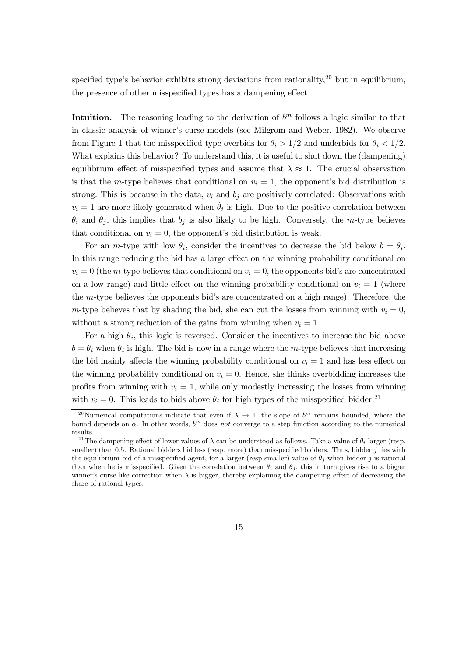specified type's behavior exhibits strong deviations from rationality,  $20$  but in equilibrium, the presence of other misspecified types has a dampening effect.

Intuition. The reasoning leading to the derivation of  $b<sup>m</sup>$  follows a logic similar to that in classic analysis of winner's curse models (see Milgrom and Weber, 1982). We observe from Figure 1 that the misspecified type overbids for  $\theta_i > 1/2$  and underbids for  $\theta_i < 1/2$ . What explains this behavior? To understand this, it is useful to shut down the (dampening) equilibrium effect of misspecified types and assume that  $\lambda \approx 1$ . The crucial observation is that the m-type believes that conditional on  $v_i = 1$ , the opponent's bid distribution is strong. This is because in the data,  $v_i$  and  $b_j$  are positively correlated: Observations with  $v_i = 1$  are more likely generated when  $\hat{\theta}_i$  is high. Due to the positive correlation between  $\theta_i$  and  $\theta_j$ , this implies that  $b_j$  is also likely to be high. Conversely, the m-type believes that conditional on  $v_i = 0$ , the opponent's bid distribution is weak.

For an *m*-type with low  $\theta_i$ , consider the incentives to decrease the bid below  $b = \theta_i$ . In this range reducing the bid has a large effect on the winning probability conditional on  $v_i = 0$  (the m-type believes that conditional on  $v_i = 0$ , the opponents bid's are concentrated on a low range) and little effect on the winning probability conditional on  $v_i = 1$  (where the  $m$ -type believes the opponents bid's are concentrated on a high range). Therefore, the m-type believes that by shading the bid, she can cut the losses from winning with  $v_i = 0$ , without a strong reduction of the gains from winning when  $v_i = 1$ .

For a high  $\theta_i$ , this logic is reversed. Consider the incentives to increase the bid above  $b = \theta_i$  when  $\theta_i$  is high. The bid is now in a range where the m-type believes that increasing the bid mainly affects the winning probability conditional on  $v_i = 1$  and has less effect on the winning probability conditional on  $v_i = 0$ . Hence, she thinks overbidding increases the profits from winning with  $v_i = 1$ , while only modestly increasing the losses from winning with  $v_i = 0$ . This leads to bids above  $\theta_i$  for high types of the misspecified bidder.<sup>21</sup>

<sup>&</sup>lt;sup>20</sup>Numerical computations indicate that even if  $\lambda \to 1$ , the slope of  $b^m$  remains bounded, where the bound depends on  $\alpha$ . In other words,  $b^m$  does not converge to a step function according to the numerical results.

<sup>&</sup>lt;sup>21</sup> The dampening effect of lower values of  $\lambda$  can be understood as follows. Take a value of  $\theta_i$  larger (resp. smaller) than 0.5. Rational bidders bid less (resp. more) than misspecified bidders. Thus, bidder  $j$  ties with the equilibrium bid of a misspecified agent, for a larger (resp smaller) value of  $\theta_i$  when bidder j is rational than when he is misspecified. Given the correlation between  $\theta_i$  and  $\theta_j$ , this in turn gives rise to a bigger winner's curse-like correction when  $\lambda$  is bigger, thereby explaining the dampening effect of decreasing the share of rational types.

<sup>15</sup>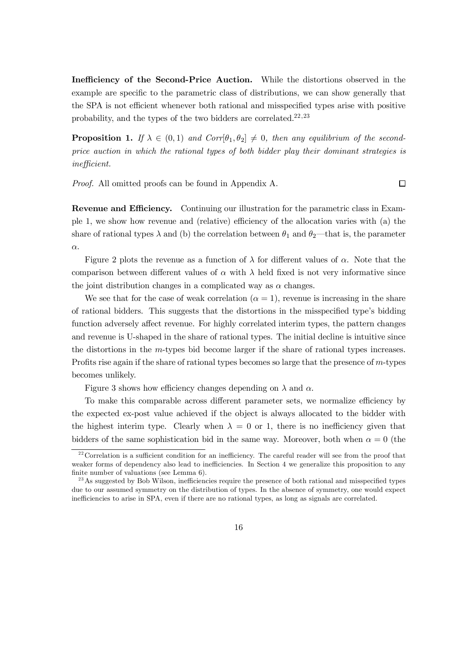Inefficiency of the Second-Price Auction. While the distortions observed in the example are specific to the parametric class of distributions, we can show generally that the SPA is not efficient whenever both rational and misspecified types arise with positive probability, and the types of the two bidders are correlated. $22,23$ 

**Proposition 1.** If  $\lambda \in (0,1)$  and  $Corr[\theta_1, \theta_2] \neq 0$ , then any equilibrium of the secondprice auction in which the rational types of both bidder play their dominant strategies is  $inefficient.$ 

Proof. All omitted proofs can be found in Appendix A.

 $\Box$ 

Revenue and Efficiency. Continuing our illustration for the parametric class in Example 1, we show how revenue and (relative) e¢ciency of the allocation varies with (a) the share of rational types  $\lambda$  and (b) the correlation between  $\theta_1$  and  $\theta_2$ —that is, the parameter  $\alpha$ .

Figure 2 plots the revenue as a function of  $\lambda$  for different values of  $\alpha$ . Note that the comparison between different values of  $\alpha$  with  $\lambda$  held fixed is not very informative since the joint distribution changes in a complicated way as  $\alpha$  changes.

We see that for the case of weak correlation  $(\alpha = 1)$ , revenue is increasing in the share of rational bidders. This suggests that the distortions in the misspecified type's bidding function adversely affect revenue. For highly correlated interim types, the pattern changes and revenue is U-shaped in the share of rational types. The initial decline is intuitive since the distortions in the  $m$ -types bid become larger if the share of rational types increases. Profits rise again if the share of rational types becomes so large that the presence of  $m$ -types becomes unlikely.

Figure 3 shows how efficiency changes depending on  $\lambda$  and  $\alpha$ .

To make this comparable across different parameter sets, we normalize efficiency by the expected ex-post value achieved if the object is always allocated to the bidder with the highest interim type. Clearly when  $\lambda = 0$  or 1, there is no inefficiency given that bidders of the same sophistication bid in the same way. Moreover, both when  $\alpha = 0$  (the

 $22$  Correlation is a sufficient condition for an inefficiency. The careful reader will see from the proof that weaker forms of dependency also lead to inefficiencies. In Section 4 we generalize this proposition to any finite number of valuations (see Lemma  $6$ ).

<sup>&</sup>lt;sup>23</sup>As suggested by Bob Wilson, inefficiencies require the presence of both rational and misspecified types due to our assumed symmetry on the distribution of types. In the absence of symmetry, one would expect inefficiencies to arise in SPA, even if there are no rational types, as long as signals are correlated.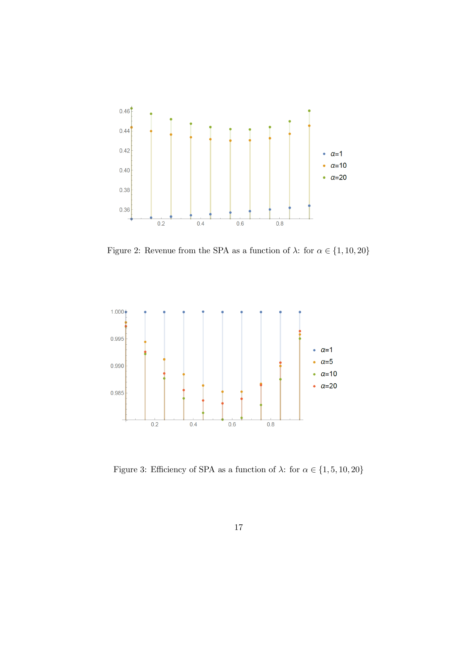

Figure 2: Revenue from the SPA as a function of  $\lambda$ : for  $\alpha \in \{1, 10, 20\}$ 



Figure 3: Efficiency of SPA as a function of  $\lambda \colon$  for  $\alpha \in \{1,5,10,20\}$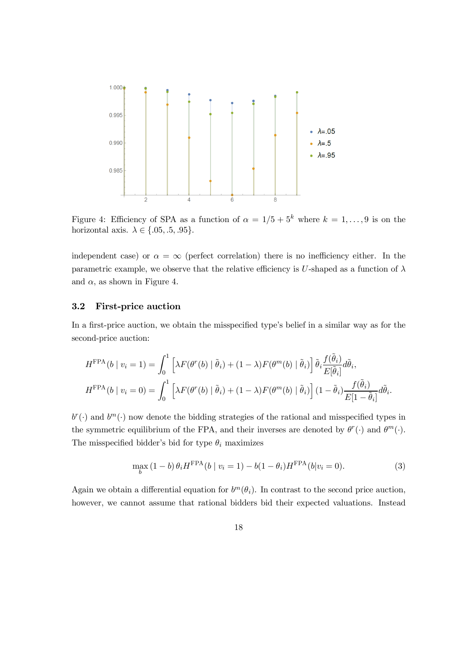

Figure 4: Efficiency of SPA as a function of  $\alpha = 1/5 + 5^k$  where  $k = 1, \ldots, 9$  is on the horizontal axis.  $\lambda \in \{.05, .5, .95\}.$ 

independent case) or  $\alpha = \infty$  (perfect correlation) there is no inefficiency either. In the parametric example, we observe that the relative efficiency is U-shaped as a function of  $\lambda$ and  $\alpha$ , as shown in Figure 4.

## 3.2 First-price auction

In a first-price auction, we obtain the misspecified type's belief in a similar way as for the second-price auction:

$$
H^{\text{FPA}}(b \mid v_i = 1) = \int_0^1 \left[ \lambda F(\theta^r(b) \mid \tilde{\theta}_i) + (1 - \lambda) F(\theta^m(b) \mid \tilde{\theta}_i) \right] \tilde{\theta}_i \frac{f(\tilde{\theta}_i)}{E[\tilde{\theta}_i]} d\tilde{\theta}_i,
$$
  

$$
H^{\text{FPA}}(b \mid v_i = 0) = \int_0^1 \left[ \lambda F(\theta^r(b) \mid \tilde{\theta}_i) + (1 - \lambda) F(\theta^m(b) \mid \tilde{\theta}_i) \right] (1 - \tilde{\theta}_i) \frac{f(\tilde{\theta}_i)}{E[1 - \tilde{\theta}_i]} d\tilde{\theta}_i.
$$

 $b^r(\cdot)$  and  $b^m(\cdot)$  now denote the bidding strategies of the rational and misspecified types in the symmetric equilibrium of the FPA, and their inverses are denoted by  $\theta^r(\cdot)$  and  $\theta^m(\cdot)$ . The misspecified bidder's bid for type  $\theta_i$  maximizes

$$
\max_{b} (1 - b) \theta_i H^{\text{FPA}}(b \mid v_i = 1) - b(1 - \theta_i) H^{\text{FPA}}(b \mid v_i = 0).
$$
 (3)

Again we obtain a differential equation for  $b^m(\theta_i)$ . In contrast to the second price auction, however, we cannot assume that rational bidders bid their expected valuations. Instead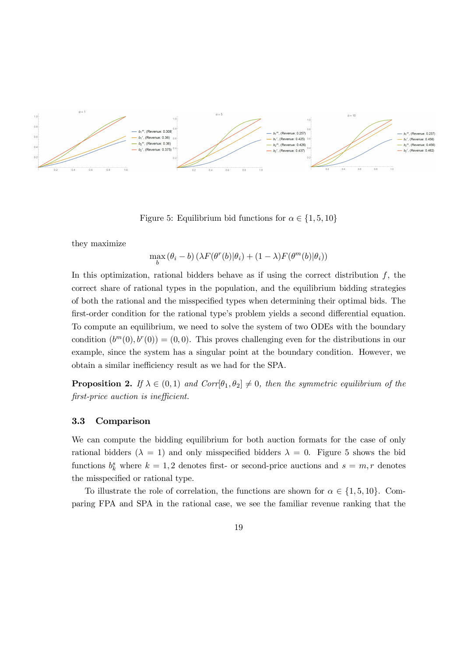

Figure 5: Equilibrium bid functions for  $\alpha \in \{1, 5, 10\}$ 

they maximize

$$
\max_{b} (\theta_i - b) \left( \lambda F(\theta^r(b) | \theta_i) + (1 - \lambda) F(\theta^m(b) | \theta_i) \right)
$$

In this optimization, rational bidders behave as if using the correct distribution  $f$ , the correct share of rational types in the population, and the equilibrium bidding strategies of both the rational and the misspecified types when determining their optimal bids. The first-order condition for the rational type's problem yields a second differential equation. To compute an equilibrium, we need to solve the system of two ODEs with the boundary condition  $(b^m(0), b^r(0)) = (0, 0)$ . This proves challenging even for the distributions in our example, since the system has a singular point at the boundary condition. However, we obtain a similar inefficiency result as we had for the SPA.

**Proposition 2.** If  $\lambda \in (0, 1)$  and  $Corr[\theta_1, \theta_2] \neq 0$ , then the symmetric equilibrium of the  $first-price$  auction is inefficient.

#### 3.3 Comparison

We can compute the bidding equilibrium for both auction formats for the case of only rational bidders ( $\lambda = 1$ ) and only misspecified bidders  $\lambda = 0$ . Figure 5 shows the bid functions  $b_k^s$  where  $k = 1, 2$  denotes first- or second-price auctions and  $s = m, r$  denotes the misspecified or rational type.

To illustrate the role of correlation, the functions are shown for  $\alpha \in \{1, 5, 10\}$ . Comparing FPA and SPA in the rational case, we see the familiar revenue ranking that the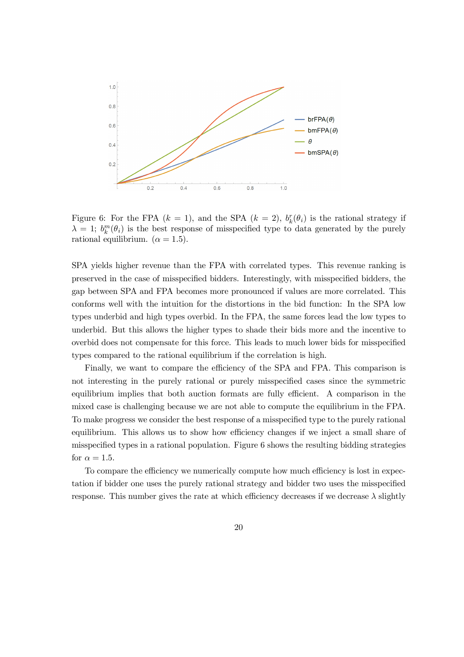

Figure 6: For the FPA  $(k = 1)$ , and the SPA  $(k = 2)$ ,  $b_k^r(\theta_i)$  is the rational strategy if  $\lambda = 1$ ;  $b_k^m(\theta_i)$  is the best response of misspecified type to data generated by the purely rational equilibrium.  $(\alpha = 1.5)$ .

SPA yields higher revenue than the FPA with correlated types. This revenue ranking is preserved in the case of misspecified bidders. Interestingly, with misspecified bidders, the gap between SPA and FPA becomes more pronounced if values are more correlated. This conforms well with the intuition for the distortions in the bid function: In the SPA low types underbid and high types overbid. In the FPA, the same forces lead the low types to underbid. But this allows the higher types to shade their bids more and the incentive to overbid does not compensate for this force. This leads to much lower bids for misspecified types compared to the rational equilibrium if the correlation is high.

Finally, we want to compare the efficiency of the SPA and FPA. This comparison is not interesting in the purely rational or purely misspecified cases since the symmetric equilibrium implies that both auction formats are fully efficient. A comparison in the mixed case is challenging because we are not able to compute the equilibrium in the FPA. To make progress we consider the best response of a misspecified type to the purely rational equilibrium. This allows us to show how efficiency changes if we inject a small share of misspecified types in a rational population. Figure  $6$  shows the resulting bidding strategies for  $\alpha = 1.5$ .

To compare the efficiency we numerically compute how much efficiency is lost in expectation if bidder one uses the purely rational strategy and bidder two uses the misspecified response. This number gives the rate at which efficiency decreases if we decrease  $\lambda$  slightly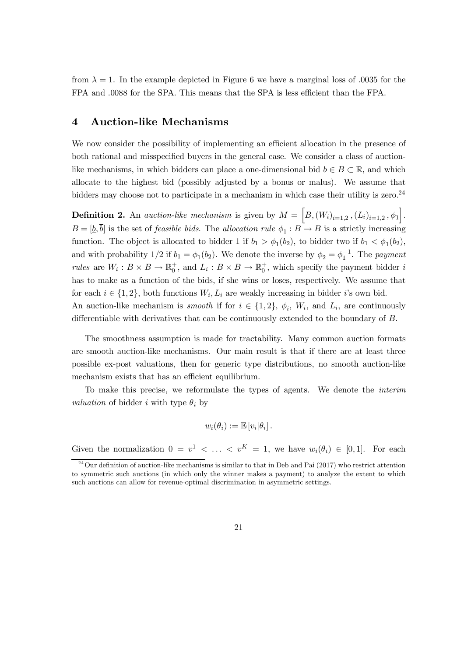from  $\lambda = 1$ . In the example depicted in Figure 6 we have a marginal loss of 0.035 for the FPA and  $.0088$  for the SPA. This means that the SPA is less efficient than the FPA.

## 4 Auction-like Mechanisms

We now consider the possibility of implementing an efficient allocation in the presence of both rational and misspecified buyers in the general case. We consider a class of auctionlike mechanisms, in which bidders can place a one-dimensional bid  $b \in B \subset \mathbb{R}$ , and which allocate to the highest bid (possibly adjusted by a bonus or malus). We assume that bidders may choose not to participate in a mechanism in which case their utility is zero.<sup>24</sup>

**Definition 2.** An *auction-like mechanism* is given by  $M = [B,(W_i)_{i=1,2}, (L_i)_{i=1,2}, \phi_1].$  $B = [\underline{b}, b]$  is the set of *feasible bids*. The *allocation rule*  $\phi_1 : B \to B$  is a strictly increasing function. The object is allocated to bidder 1 if  $b_1 > \phi_1(b_2)$ , to bidder two if  $b_1 < \phi_1(b_2)$ , and with probability  $1/2$  if  $b_1 = \phi_1(b_2)$ . We denote the inverse by  $\phi_2 = \phi_1^{-1}$ . The *payment* rules are  $W_i: B \times B \to \mathbb{R}_0^+$ , and  $L_i: B \times B \to \mathbb{R}_0^+$ , which specify the payment bidder i has to make as a function of the bids, if she wins or loses, respectively. We assume that for each  $i \in \{1, 2\}$ , both functions  $W_i, L_i$  are weakly increasing in bidder *i*'s own bid. An auction-like mechanism is *smooth* if for  $i \in \{1, 2\}$ ,  $\phi_i$ ,  $W_i$ , and  $L_i$ , are continuously differentiable with derivatives that can be continuously extended to the boundary of  $B$ .

The smoothness assumption is made for tractability. Many common auction formats are smooth auction-like mechanisms. Our main result is that if there are at least three possible ex-post valuations, then for generic type distributions, no smooth auction-like mechanism exists that has an efficient equilibrium.

To make this precise, we reformulate the types of agents. We denote the interim *valuation* of bidder *i* with type  $\theta_i$  by

$$
w_i(\theta_i) := \mathbb{E}\left[v_i|\theta_i\right].
$$

Given the normalization  $0 = v^1 < \ldots < v^K = 1$ , we have  $w_i(\theta_i) \in [0,1]$ . For each

 $^{24}$ Our definition of auction-like mechanisms is similar to that in Deb and Pai (2017) who restrict attention to symmetric such auctions (in which only the winner makes a payment) to analyze the extent to which such auctions can allow for revenue-optimal discrimination in asymmetric settings.

<sup>21</sup>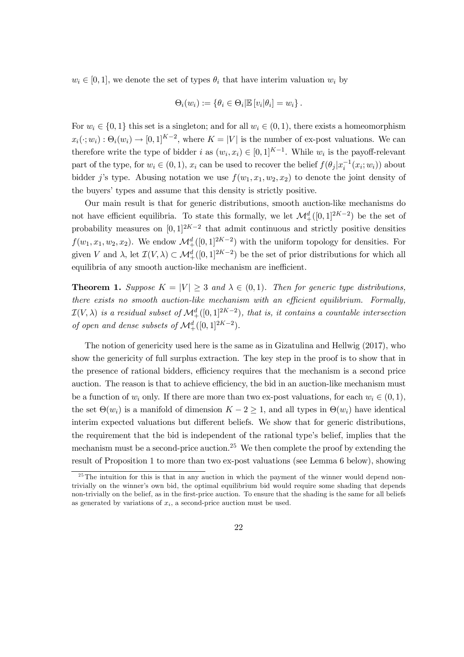$w_i \in [0, 1]$ , we denote the set of types  $\theta_i$  that have interim valuation  $w_i$  by

$$
\Theta_i(w_i) := \{ \theta_i \in \Theta_i | \mathbb{E} [v_i | \theta_i] = w_i \}.
$$

For  $w_i \in \{0, 1\}$  this set is a singleton; and for all  $w_i \in (0, 1)$ , there exists a homeomorphism  $x_i(\cdot; w_i) : \Theta_i(w_i) \to [0, 1]^{K-2}$ , where  $K = |V|$  is the number of ex-post valuations. We can therefore write the type of bidder *i* as  $(w_i, x_i) \in [0, 1]^{K-1}$ . While  $w_i$  is the payoff-relevant part of the type, for  $w_i \in (0, 1)$ ,  $x_i$  can be used to recover the belief  $f(\theta_j | x_i^{-1}(x_i; w_i))$  about bidder j's type. Abusing notation we use  $f(w_1, x_1, w_2, x_2)$  to denote the joint density of the buyers' types and assume that this density is strictly positive.

Our main result is that for generic distributions, smooth auction-like mechanisms do not have efficient equilibria. To state this formally, we let  $\mathcal{M}^d_+([0,1]^{2K-2})$  be the set of probability measures on  $[0,1]^{2K-2}$  that admit continuous and strictly positive densities  $f(w_1, x_1, w_2, x_2)$ . We endow  $\mathcal{M}^d_+([0, 1]^{2K-2})$  with the uniform topology for densities. For given V and  $\lambda$ , let  $\mathcal{I}(V,\lambda) \subset \mathcal{M}^d_+([0,1]^{2K-2})$  be the set of prior distributions for which all equilibria of any smooth auction-like mechanism are inefficient.

**Theorem 1.** Suppose  $K = |V| \geq 3$  and  $\lambda \in (0,1)$ . Then for generic type distributions, there exists no smooth auction-like mechanism with an efficient equilibrium. Formally,  $\mathcal{I}(V,\lambda)$  is a residual subset of  $\mathcal{M}^d_+([0,1]^{2K-2})$ , that is, it contains a countable intersection of open and dense subsets of  $\mathcal{M}^d_+([0,1]^{2K-2})$ .

The notion of genericity used here is the same as in Gizatulina and Hellwig (2017), who show the genericity of full surplus extraction. The key step in the proof is to show that in the presence of rational bidders, efficiency requires that the mechanism is a second price auction. The reason is that to achieve efficiency, the bid in an auction-like mechanism must be a function of  $w_i$  only. If there are more than two ex-post valuations, for each  $w_i \in (0, 1)$ , the set  $\Theta(w_i)$  is a manifold of dimension  $K - 2 \geq 1$ , and all types in  $\Theta(w_i)$  have identical interim expected valuations but different beliefs. We show that for generic distributions, the requirement that the bid is independent of the rational type's belief, implies that the mechanism must be a second-price auction.<sup>25</sup> We then complete the proof by extending the result of Proposition 1 to more than two ex-post valuations (see Lemma 6 below), showing

 $\frac{25}{25}$ The intuition for this is that in any auction in which the payment of the winner would depend nontrivially on the winner's own bid, the optimal equilibrium bid would require some shading that depends non-trivially on the belief, as in the first-price auction. To ensure that the shading is the same for all beliefs as generated by variations of  $x_i$ , a second-price auction must be used.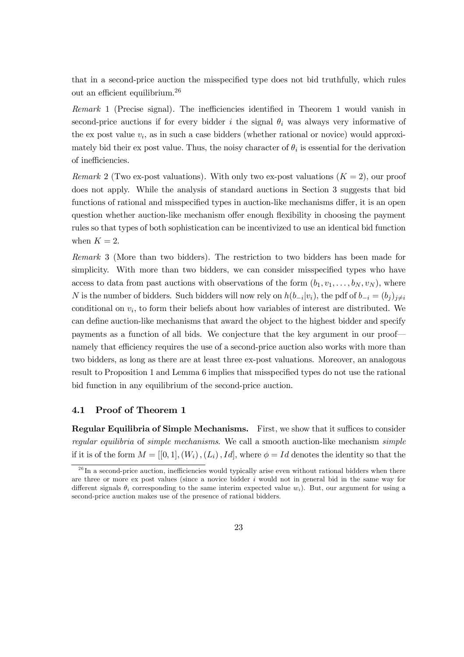that in a second-price auction the misspecified type does not bid truthfully, which rules out an efficient equilibrium.<sup>26</sup>

 $Remark 1$  (Precise signal). The inefficiencies identified in Theorem 1 would vanish in second-price auctions if for every bidder i the signal  $\theta_i$  was always very informative of the ex post value  $v_i$ , as in such a case bidders (whether rational or novice) would approximately bid their ex post value. Thus, the noisy character of  $\theta_i$  is essential for the derivation of inefficiencies.

*Remark* 2 (Two ex-post valuations). With only two ex-post valuations  $(K = 2)$ , our proof does not apply. While the analysis of standard auctions in Section 3 suggests that bid functions of rational and misspecified types in auction-like mechanisms differ, it is an open question whether auction-like mechanism offer enough flexibility in choosing the payment rules so that types of both sophistication can be incentivized to use an identical bid function when  $K = 2$ .

Remark 3 (More than two bidders). The restriction to two bidders has been made for simplicity. With more than two bidders, we can consider misspecified types who have access to data from past auctions with observations of the form  $(b_1, v_1, \ldots, b_N, v_N)$ , where N is the number of bidders. Such bidders will now rely on  $h(b_{-i}|v_i)$ , the pdf of  $b_{-i} = (b_j)_{j \neq i}$ conditional on  $v_i$ , to form their beliefs about how variables of interest are distributed. We can define auction-like mechanisms that award the object to the highest bidder and specify payments as a function of all bids. We conjecture that the key argument in our proof namely that efficiency requires the use of a second-price auction also works with more than two bidders, as long as there are at least three ex-post valuations. Moreover, an analogous result to Proposition 1 and Lemma 6 implies that misspecified types do not use the rational bid function in any equilibrium of the second-price auction.

## 4.1 Proof of Theorem 1

**Regular Equilibria of Simple Mechanisms.** First, we show that it suffices to consider regular equilibria of simple mechanisms. We call a smooth auction-like mechanism simple if it is of the form  $M = [[0,1], (W_i), (L_i), Id]$ , where  $\phi = Id$  denotes the identity so that the

 $^{26}$ In a second-price auction, inefficiencies would typically arise even without rational bidders when there are three or more ex post values (since a novice bidder  $i$  would not in general bid in the same way for different signals  $\theta_i$  corresponding to the same interim expected value  $w_i$ ). But, our argument for using a second-price auction makes use of the presence of rational bidders.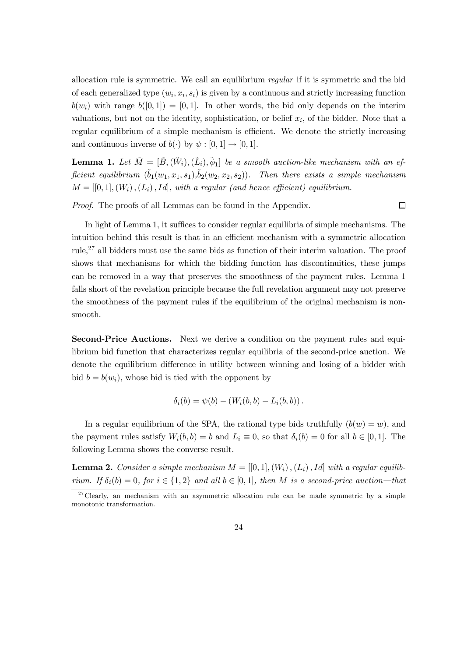allocation rule is symmetric. We call an equilibrium regular if it is symmetric and the bid of each generalized type  $(w_i, x_i, s_i)$  is given by a continuous and strictly increasing function  $b(w_i)$  with range  $b([0, 1]) = [0, 1]$ . In other words, the bid only depends on the interim valuations, but not on the identity, sophistication, or belief  $x_i$ , of the bidder. Note that a regular equilibrium of a simple mechanism is efficient. We denote the strictly increasing and continuous inverse of  $b(\cdot)$  by  $\psi : [0, 1] \rightarrow [0, 1].$ 

**Lemma 1.** Let  $\tilde{M} = [\tilde{B}, (\tilde{W}_i), (\tilde{L}_i), \tilde{\phi}_1]$  be a smooth auction-like mechanism with an efficient equilibrium  $(\tilde{b}_1(w_1, x_1, s_1), \tilde{b}_2(w_2, x_2, s_2)).$  Then there exists a simple mechanism  $M = [[0, 1], (W_i), (L_i), Id]$ , with a regular (and hence efficient) equilibrium.

Proof. The proofs of all Lemmas can be found in the Appendix.

 $\Box$ 

In light of Lemma 1, it suffices to consider regular equilibria of simple mechanisms. The intuition behind this result is that in an efficient mechanism with a symmetric allocation rule,<sup>27</sup> all bidders must use the same bids as function of their interim valuation. The proof shows that mechanisms for which the bidding function has discontinuities, these jumps can be removed in a way that preserves the smoothness of the payment rules. Lemma 1 falls short of the revelation principle because the full revelation argument may not preserve the smoothness of the payment rules if the equilibrium of the original mechanism is nonsmooth.

Second-Price Auctions. Next we derive a condition on the payment rules and equilibrium bid function that characterizes regular equilibria of the second-price auction. We denote the equilibrium difference in utility between winning and losing of a bidder with bid  $b = b(w_i)$ , whose bid is tied with the opponent by

$$
\delta_i(b) = \psi(b) - (W_i(b, b) - L_i(b, b)).
$$

In a regular equilibrium of the SPA, the rational type bids truthfully  $(b(w) = w)$ , and the payment rules satisfy  $W_i(b, b) = b$  and  $L_i \equiv 0$ , so that  $\delta_i(b) = 0$  for all  $b \in [0, 1]$ . The following Lemma shows the converse result.

**Lemma 2.** Consider a simple mechanism  $M = [[0,1], (W_i), (L_i), Id]$  with a regular equilibrium. If  $\delta_i(b) = 0$ , for  $i \in \{1,2\}$  and all  $b \in [0,1]$ , then M is a second-price auction—that

<sup>&</sup>lt;sup>27</sup> Clearly, an mechanism with an asymmetric allocation rule can be made symmetric by a simple monotonic transformation.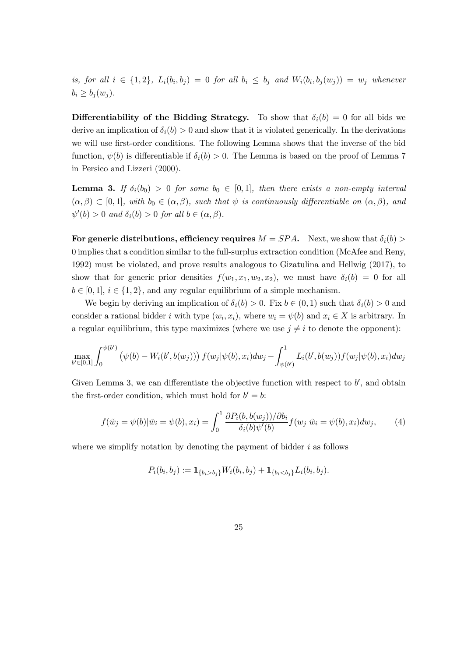is, for all  $i \in \{1, 2\}$ ,  $L_i(b_i, b_j) = 0$  for all  $b_i \leq b_j$  and  $W_i(b_i, b_j(w_j)) = w_j$  whenever  $b_i \geq b_i(w_i)$ .

Differentiability of the Bidding Strategy. To show that  $\delta_i(b) = 0$  for all bids we derive an implication of  $\delta_i(b) > 0$  and show that it is violated generically. In the derivations we will use first-order conditions. The following Lemma shows that the inverse of the bid function,  $\psi(b)$  is differentiable if  $\delta_i(b) > 0$ . The Lemma is based on the proof of Lemma 7 in Persico and Lizzeri (2000).

**Lemma 3.** If  $\delta_i(b_0) > 0$  for some  $b_0 \in [0, 1]$ , then there exists a non-empty interval  $(\alpha, \beta) \subset [0, 1],$  with  $b_0 \in (\alpha, \beta)$ , such that  $\psi$  is continuously differentiable on  $(\alpha, \beta)$ , and  $\psi'(b) > 0$  and  $\delta_i(b) > 0$  for all  $b \in (\alpha, \beta)$ .

For generic distributions, efficiency requires  $M = SPA$ . Next, we show that  $\delta_i(b)$ 0 implies that a condition similar to the full-surplus extraction condition (McAfee and Reny, 1992) must be violated, and prove results analogous to Gizatulina and Hellwig (2017), to show that for generic prior densities  $f(w_1, x_1, w_2, x_2)$ , we must have  $\delta_i(b) = 0$  for all  $b \in [0, 1], i \in \{1, 2\},$  and any regular equilibrium of a simple mechanism.

We begin by deriving an implication of  $\delta_i(b) > 0$ . Fix  $b \in (0,1)$  such that  $\delta_i(b) > 0$  and consider a rational bidder *i* with type  $(w_i, x_i)$ , where  $w_i = \psi(b)$  and  $x_i \in X$  is arbitrary. In a regular equilibrium, this type maximizes (where we use  $j \neq i$  to denote the opponent):

$$
\max_{b' \in [0,1]} \int_0^{\psi(b')} \left( \psi(b) - W_i(b',b(w_j)) \right) f(w_j|\psi(b),x_i) dw_j - \int_{\psi(b')}^1 L_i(b',b(w_j)) f(w_j|\psi(b),x_i) dw_j
$$

Given Lemma 3, we can differentiate the objective function with respect to  $b'$ , and obtain the first-order condition, which must hold for  $b' = b$ :

$$
f(\tilde{w}_j = \psi(b)|\tilde{w}_i = \psi(b), x_i) = \int_0^1 \frac{\partial P_i(b, b(w_j))/\partial b_i}{\delta_i(b)\psi'(b)} f(w_j|\tilde{w}_i = \psi(b), x_i) dw_j, \tag{4}
$$

where we simplify notation by denoting the payment of bidder  $i$  as follows

$$
P_i(b_i, b_j) := \mathbf{1}_{\{b_i > b_j\}} W_i(b_i, b_j) + \mathbf{1}_{\{b_i < b_j\}} L_i(b_i, b_j).
$$

25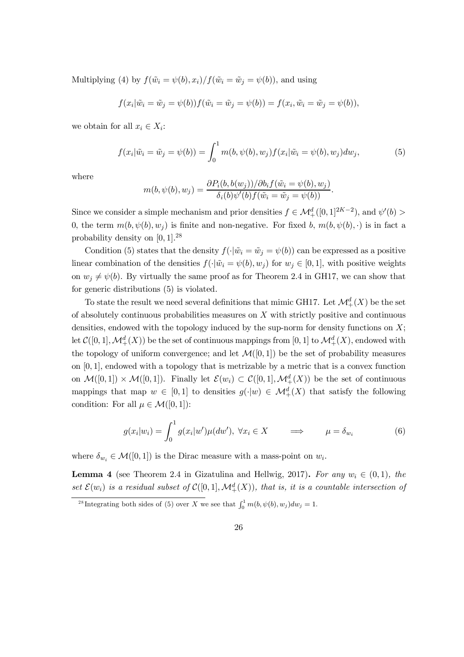Multiplying (4) by  $f(\tilde{w}_i = \psi(b), x_i)/f(\tilde{w}_i = \tilde{w}_j = \psi(b))$ , and using

$$
f(x_i|\tilde{w}_i = \tilde{w}_j = \psi(b))f(\tilde{w}_i = \tilde{w}_j = \psi(b)) = f(x_i, \tilde{w}_i = \tilde{w}_j = \psi(b)),
$$

we obtain for all  $x_i \in X_i$ :

$$
f(x_i|\tilde{w}_i = \tilde{w}_j = \psi(b)) = \int_0^1 m(b, \psi(b), w_j) f(x_i|\tilde{w}_i = \psi(b), w_j) dw_j, \tag{5}
$$

where

$$
m(b, \psi(b), w_j) = \frac{\partial P_i(b, b(w_j))}{\partial b_i(b) \psi'(b) f(\tilde{w}_i = \tilde{w}_j = \psi(b))}.
$$

Since we consider a simple mechanism and prior densities  $f \in \mathcal{M}^d_+([0,1]^{2K-2})$ , and  $\psi'(b)$ 0, the term  $m(b, \psi(b), w_i)$  is finite and non-negative. For fixed b,  $m(b, \psi(b), \cdot)$  is in fact a probability density on  $[0, 1]$ .<sup>28</sup>

Condition (5) states that the density  $f(\cdot|\tilde{w}_i = \tilde{w}_j = \psi(b))$  can be expressed as a positive linear combination of the densities  $f(\cdot | \tilde{w}_i = \psi(b), w_i)$  for  $w_i \in [0, 1]$ , with positive weights on  $w_i \neq \psi(b)$ . By virtually the same proof as for Theorem 2.4 in GH17, we can show that for generic distributions (5) is violated.

To state the result we need several definitions that mimic GH17. Let  $\mathcal{M}^d_+(X)$  be the set of absolutely continuous probabilities measures on  $X$  with strictly positive and continuous densities, endowed with the topology induced by the sup-norm for density functions on  $X$ ; let  $\mathcal C([0,1],\mathcal M_+^d(X))$  be the set of continuous mappings from  $[0,1]$  to  $\mathcal M_+^d(X),$  endowed with the topology of uniform convergence; and let  $\mathcal{M}([0,1])$  be the set of probability measures on  $[0, 1]$ , endowed with a topology that is metrizable by a metric that is a convex function on  $\mathcal{M}([0,1]) \times \mathcal{M}([0,1])$ . Finally let  $\mathcal{E}(w_i) \subset C([0,1], \mathcal{M}^d_+(X))$  be the set of continuous mappings that map  $w \in [0, 1]$  to densities  $g(\cdot|w) \in M^d_+(X)$  that satisfy the following condition: For all  $\mu \in \mathcal{M}([0, 1])$ :

$$
g(x_i|w_i) = \int_0^1 g(x_i|w')\mu(dw'), \ \forall x_i \in X \qquad \Longrightarrow \qquad \mu = \delta_{w_i} \tag{6}
$$

where  $\delta_{w_i} \in \mathcal{M}([0,1])$  is the Dirac measure with a mass-point on  $w_i$ .

**Lemma 4** (see Theorem 2.4 in Gizatulina and Hellwig, 2017). For any  $w_i \in (0,1)$ , the set  $\mathcal{E}(w_i)$  is a residual subset of  $\mathcal{C}([0,1],\mathcal{M}^d_+(X))$ , that is, it is a countable intersection of

<sup>&</sup>lt;sup>28</sup>Integrating both sides of (5) over X we see that  $\int_0^1 m(b, \psi(b), w_j) dw_j = 1$ .

<sup>26</sup>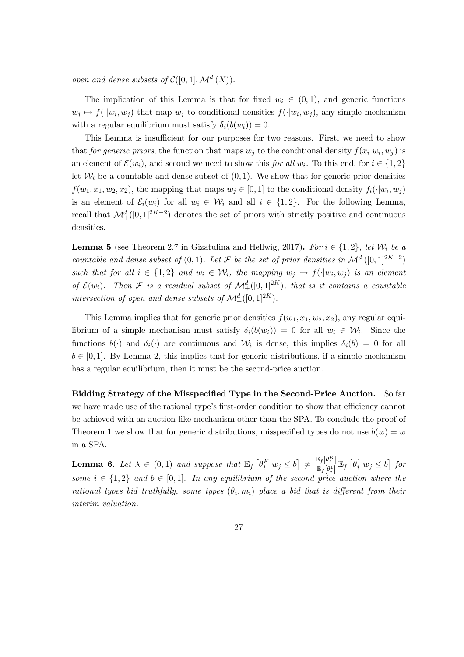open and dense subsets of  $C([0,1], \mathcal{M}^d_+(X)).$ 

The implication of this Lemma is that for fixed  $w_i \in (0, 1)$ , and generic functions  $w_i \mapsto f(\cdot | w_i, w_j)$  that map  $w_i$  to conditional densities  $f(\cdot | w_i, w_j)$ , any simple mechanism with a regular equilibrium must satisfy  $\delta_i(b(w_i)) = 0$ .

This Lemma is insufficient for our purposes for two reasons. First, we need to show that *for generic priors*, the function that maps  $w_j$  to the conditional density  $f(x_i|w_i, w_j)$  is an element of  $\mathcal{E}(w_i)$ , and second we need to show this for all  $w_i$ . To this end, for  $i \in \{1, 2\}$ let  $\mathcal{W}_i$  be a countable and dense subset of  $(0, 1)$ . We show that for generic prior densities  $f(w_1, x_1, w_2, x_2)$ , the mapping that maps  $w_i \in [0, 1]$  to the conditional density  $f_i(\cdot | w_i, w_j)$ is an element of  $\mathcal{E}_i(w_i)$  for all  $w_i \in \mathcal{W}_i$  and all  $i \in \{1,2\}$ . For the following Lemma, recall that  $\mathcal{M}^d_+([0,1]^{2K-2})$  denotes the set of priors with strictly positive and continuous densities.

**Lemma 5** (see Theorem 2.7 in Gizatulina and Hellwig, 2017). For  $i \in \{1,2\}$ , let  $\mathcal{W}_i$  be a countable and dense subset of  $(0,1)$ . Let  $\mathcal F$  be the set of prior densities in  $\mathcal M^d_+([0,1]^{2K-2})$ such that for all  $i \in \{1,2\}$  and  $w_i \in \mathcal{W}_i$ , the mapping  $w_j \mapsto f(\cdot|w_i,w_j)$  is an element of  $\mathcal{E}(w_i)$ . Then F is a residual subset of  $\mathcal{M}^d_+([0,1]^{2K})$ , that is it contains a countable intersection of open and dense subsets of  $\mathcal{M}^d_+([0,1]^{2K})$ .

This Lemma implies that for generic prior densities  $f(w_1, x_1, w_2, x_2)$ , any regular equilibrium of a simple mechanism must satisfy  $\delta_i(b(w_i)) = 0$  for all  $w_i \in \mathcal{W}_i$ . Since the functions  $b(\cdot)$  and  $\delta_i(\cdot)$  are continuous and  $\mathcal{W}_i$  is dense, this implies  $\delta_i(b) = 0$  for all  $b \in [0, 1]$ . By Lemma 2, this implies that for generic distributions, if a simple mechanism has a regular equilibrium, then it must be the second-price auction.

Bidding Strategy of the Misspecified Type in the Second-Price Auction. So far we have made use of the rational type's first-order condition to show that efficiency cannot be achieved with an auction-like mechanism other than the SPA. To conclude the proof of Theorem 1 we show that for generic distributions, misspecified types do not use  $b(w) = w$ in a SPA.

**Lemma 6.** Let  $\lambda \in (0,1)$  and suppose that  $\mathbb{E}_f \left[ \theta_i^K | w_j \leq b \right] \neq \frac{\mathbb{E}_f \left[ \theta_i^K \right]}{\mathbb{E}_f \left[ \theta_i^1 \right]}$  $\frac{\mathbb{E}_f[\theta_i^1]}{\mathbb{E}_f[\theta_i^1]} \mathbb{E}_f[\theta_i^1|w_j \leq b]$  for some  $i \in \{1,2\}$  and  $b \in [0,1]$ . In any equilibrium of the second price auction where the rational types bid truthfully, some types  $(\theta_i, m_i)$  place a bid that is different from their interim valuation.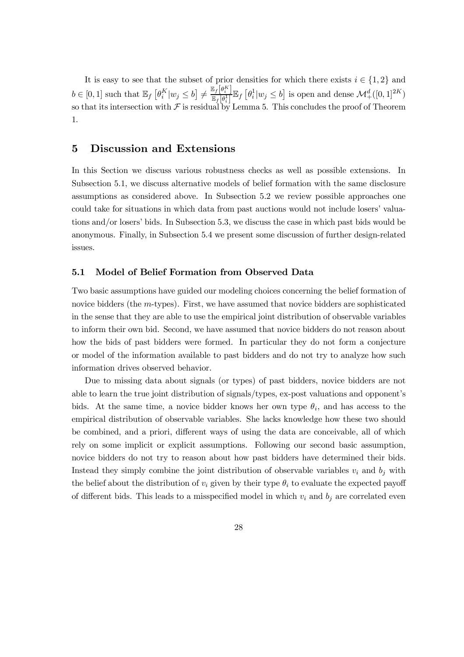It is easy to see that the subset of prior densities for which there exists  $i \in \{1, 2\}$  and  $b \in [0, 1]$  such that  $\mathbb{E}_f \left[ \theta_i^K | w_j \leq b \right] \neq \frac{\mathbb{E}_f \left[ \theta_i^K \right]}{\mathbb{E}_f \left[ \theta_i^1 \right]}$  $\frac{\mathbb{E}_f[\theta_i^1]}{\mathbb{E}_f[\theta_i^1]} \mathbb{E}_f[\theta_i^1 | w_j \leq b]$  is open and dense  $\mathcal{M}^d_+([0,1]^{2K})$ so that its intersection with  $\mathcal F$  is residual by Lemma 5. This concludes the proof of Theorem 1.

# 5 Discussion and Extensions

In this Section we discuss various robustness checks as well as possible extensions. In Subsection 5.1, we discuss alternative models of belief formation with the same disclosure assumptions as considered above. In Subsection 5.2 we review possible approaches one could take for situations in which data from past auctions would not include losers' valuations and/or losers' bids. In Subsection 5.3, we discuss the case in which past bids would be anonymous. Finally, in Subsection 5.4 we present some discussion of further design-related issues.

#### 5.1 Model of Belief Formation from Observed Data

Two basic assumptions have guided our modeling choices concerning the belief formation of novice bidders (the  $m$ -types). First, we have assumed that novice bidders are sophisticated in the sense that they are able to use the empirical joint distribution of observable variables to inform their own bid. Second, we have assumed that novice bidders do not reason about how the bids of past bidders were formed. In particular they do not form a conjecture or model of the information available to past bidders and do not try to analyze how such information drives observed behavior.

Due to missing data about signals (or types) of past bidders, novice bidders are not able to learn the true joint distribution of signals/types, ex-post valuations and opponent's bids. At the same time, a novice bidder knows her own type  $\theta_i$ , and has access to the empirical distribution of observable variables. She lacks knowledge how these two should be combined, and a priori, different ways of using the data are conceivable, all of which rely on some implicit or explicit assumptions. Following our second basic assumption, novice bidders do not try to reason about how past bidders have determined their bids. Instead they simply combine the joint distribution of observable variables  $v_i$  and  $b_j$  with the belief about the distribution of  $v_i$  given by their type  $\theta_i$  to evaluate the expected payoff of different bids. This leads to a misspecified model in which  $v_i$  and  $b_i$  are correlated even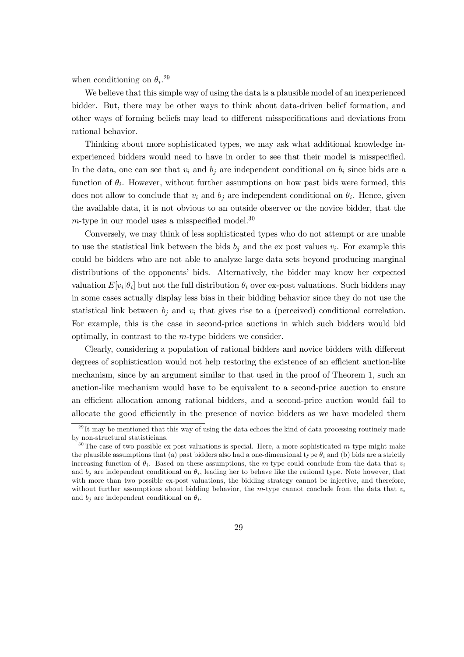when conditioning on  $\theta_i$ <sup>29</sup>

We believe that this simple way of using the data is a plausible model of an inexperienced bidder. But, there may be other ways to think about data-driven belief formation, and other ways of forming beliefs may lead to different misspecifications and deviations from rational behavior.

Thinking about more sophisticated types, we may ask what additional knowledge inexperienced bidders would need to have in order to see that their model is misspecified. In the data, one can see that  $v_i$  and  $b_j$  are independent conditional on  $b_i$  since bids are a function of  $\theta_i$ . However, without further assumptions on how past bids were formed, this does not allow to conclude that  $v_i$  and  $b_j$  are independent conditional on  $\theta_i$ . Hence, given the available data, it is not obvious to an outside observer or the novice bidder, that the  $m$ -type in our model uses a misspecified model.<sup>30</sup>

Conversely, we may think of less sophisticated types who do not attempt or are unable to use the statistical link between the bids  $b_j$  and the ex post values  $v_i$ . For example this could be bidders who are not able to analyze large data sets beyond producing marginal distributions of the opponents' bids. Alternatively, the bidder may know her expected valuation  $E[v_i|\theta_i]$  but not the full distribution  $\theta_i$  over ex-post valuations. Such bidders may in some cases actually display less bias in their bidding behavior since they do not use the statistical link between  $b_i$  and  $v_i$  that gives rise to a (perceived) conditional correlation. For example, this is the case in second-price auctions in which such bidders would bid optimally, in contrast to the  $m$ -type bidders we consider.

Clearly, considering a population of rational bidders and novice bidders with different degrees of sophistication would not help restoring the existence of an efficient auction-like mechanism, since by an argument similar to that used in the proof of Theorem 1, such an auction-like mechanism would have to be equivalent to a second-price auction to ensure an efficient allocation among rational bidders, and a second-price auction would fail to allocate the good efficiently in the presence of novice bidders as we have modeled them

 $^{29}$ It may be mentioned that this way of using the data echoes the kind of data processing routinely made by non-structural statisticians.

 $30$  The case of two possible ex-post valuations is special. Here, a more sophisticated  $m$ -type might make the plausible assumptions that (a) past bidders also had a one-dimensional type  $\theta_i$  and (b) bids are a strictly increasing function of  $\theta_i$ . Based on these assumptions, the m-type could conclude from the data that  $v_i$ and  $b_j$  are independent conditional on  $\theta_i$ , leading her to behave like the rational type. Note however, that with more than two possible ex-post valuations, the bidding strategy cannot be injective, and therefore, without further assumptions about bidding behavior, the  $m$ -type cannot conclude from the data that  $v_i$ and  $b_i$  are independent conditional on  $\theta_i$ .

<sup>29</sup>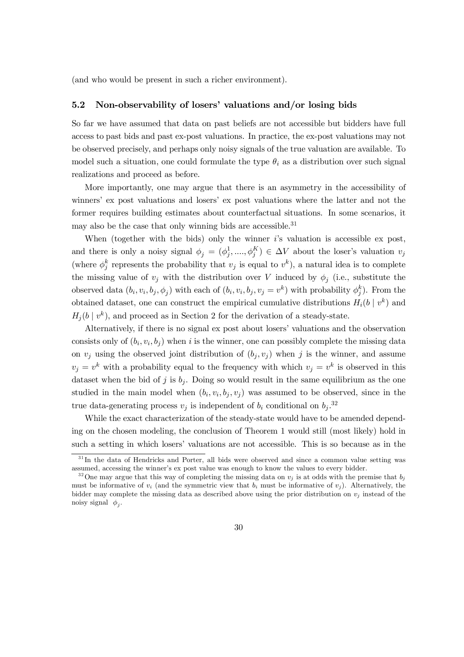(and who would be present in such a richer environment).

## 5.2 Non-observability of losers' valuations and/or losing bids

So far we have assumed that data on past beliefs are not accessible but bidders have full access to past bids and past ex-post valuations. In practice, the ex-post valuations may not be observed precisely, and perhaps only noisy signals of the true valuation are available. To model such a situation, one could formulate the type  $\theta_i$  as a distribution over such signal realizations and proceed as before.

More importantly, one may argue that there is an asymmetry in the accessibility of winners' ex post valuations and losers' ex post valuations where the latter and not the former requires building estimates about counterfactual situations. In some scenarios, it may also be the case that only winning bids are accessible.<sup>31</sup>

When (together with the bids) only the winner  $i$ 's valuation is accessible ex post, and there is only a noisy signal  $\phi_j = (\phi_j^1, ..., \phi_j^K) \in \Delta V$  about the loser's valuation  $v_j$ (where  $\phi_j^k$  represents the probability that  $v_j$  is equal to  $v^k$ ), a natural idea is to complete the missing value of  $v_j$  with the distribution over V induced by  $\phi_j$  (i.e., substitute the observed data  $(b_i, v_i, b_j, \phi_j)$  with each of  $(b_i, v_i, b_j, v_j = v^k)$  with probability  $\phi_j^k$ ). From the obtained dataset, one can construct the empirical cumulative distributions  $H_i(b \mid v^k)$  and  $H_j(b \mid v^k)$ , and proceed as in Section 2 for the derivation of a steady-state.

Alternatively, if there is no signal ex post about losers' valuations and the observation consists only of  $(b_i, v_i, b_j)$  when *i* is the winner, one can possibly complete the missing data on  $v_i$  using the observed joint distribution of  $(b_i, v_i)$  when j is the winner, and assume  $v_j = v^k$  with a probability equal to the frequency with which  $v_j = v^k$  is observed in this dataset when the bid of j is  $b_j$ . Doing so would result in the same equilibrium as the one studied in the main model when  $(b_i, v_i, b_j, v_j)$  was assumed to be observed, since in the true data-generating process  $v_j$  is independent of  $b_i$  conditional on  $b_j$ .<sup>32</sup>

While the exact characterization of the steady-state would have to be amended depending on the chosen modeling, the conclusion of Theorem 1 would still (most likely) hold in such a setting in which losers' valuations are not accessible. This is so because as in the

<sup>&</sup>lt;sup>32</sup> One may argue that this way of completing the missing data on  $v_j$  is at odds with the premise that  $b_j$ must be informative of  $v_i$  (and the symmetric view that  $b_i$  must be informative of  $v_i$ ). Alternatively, the bidder may complete the missing data as described above using the prior distribution on  $v_j$  instead of the noisy signal  $\phi_j$ .



<sup>&</sup>lt;sup>31</sup>In the data of Hendricks and Porter, all bids were observed and since a common value setting was assumed, accessing the winner's ex post value was enough to know the values to every bidder.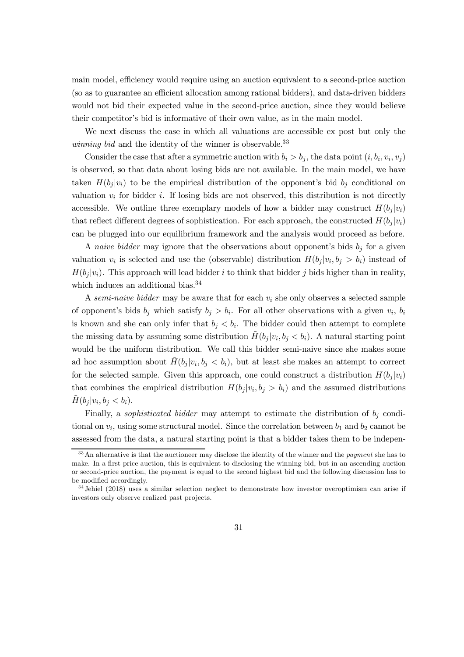main model, efficiency would require using an auction equivalent to a second-price auction (so as to guarantee an efficient allocation among rational bidders), and data-driven bidders would not bid their expected value in the second-price auction, since they would believe their competitor's bid is informative of their own value, as in the main model.

We next discuss the case in which all valuations are accessible ex post but only the winning bid and the identity of the winner is observable.<sup>33</sup>

Consider the case that after a symmetric auction with  $b_i > b_j$ , the data point  $(i, b_i, v_i, v_j)$ is observed, so that data about losing bids are not available. In the main model, we have taken  $H(b_i|v_i)$  to be the empirical distribution of the opponent's bid  $b_i$  conditional on valuation  $v_i$  for bidder i. If losing bids are not observed, this distribution is not directly accessible. We outline three exemplary models of how a bidder may construct  $H(b_j|v_i)$ that reflect different degrees of sophistication. For each approach, the constructed  $H(b_i|v_i)$ can be plugged into our equilibrium framework and the analysis would proceed as before.

A naive bidder may ignore that the observations about opponent's bids  $b_j$  for a given valuation  $v_i$  is selected and use the (observable) distribution  $H(b_j|v_i, b_j > b_i)$  instead of  $H(b_i|v_i)$ . This approach will lead bidder *i* to think that bidder *j* bids higher than in reality, which induces an additional bias.<sup>34</sup>

A semi-naive bidder may be aware that for each  $v_i$  she only observes a selected sample of opponent's bids  $b_j$  which satisfy  $b_j > b_i$ . For all other observations with a given  $v_i$ ,  $b_i$ is known and she can only infer that  $b_j < b_i$ . The bidder could then attempt to complete the missing data by assuming some distribution  $H(b_j | v_i, b_j < b_i)$ . A natural starting point would be the uniform distribution. We call this bidder semi-naive since she makes some ad hoc assumption about  $\tilde{H}(b_j|v_i, b_j < b_i)$ , but at least she makes an attempt to correct for the selected sample. Given this approach, one could construct a distribution  $H(b_j|v_i)$ that combines the empirical distribution  $H(b_j | v_i, b_j > b_i)$  and the assumed distributions  $H(b_j | v_i, b_j < b_i).$ 

Finally, a *sophisticated bidder* may attempt to estimate the distribution of  $b_i$  conditional on  $v_i$ , using some structural model. Since the correlation between  $b_1$  and  $b_2$  cannot be assessed from the data, a natural starting point is that a bidder takes them to be indepen-

 $33$ An alternative is that the auctioneer may disclose the identity of the winner and the *payment* she has to make. In a first-price auction, this is equivalent to disclosing the winning bid, but in an ascending auction or second-price auction, the payment is equal to the second highest bid and the following discussion has to be modified accordingly.

<sup>&</sup>lt;sup>34</sup> Jehiel (2018) uses a similar selection neglect to demonstrate how investor overoptimism can arise if investors only observe realized past projects.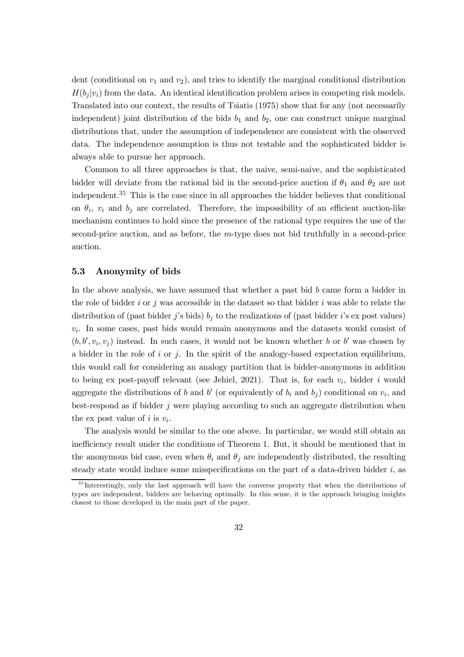dent (conditional on  $v_1$  and  $v_2$ ), and tries to identify the marginal conditional distribution  $H(b_i|v_i)$  from the data. An identical identification problem arises in competing risk models. Translated into our context, the results of Tsiatis (1975) show that for any (not necessarily independent) joint distribution of the bids  $b_1$  and  $b_2$ , one can construct unique marginal distributions that, under the assumption of independence are consistent with the observed data. The independence assumption is thus not testable and the sophisticated bidder is always able to pursue her approach.

Common to all three approaches is that, the naive, semi-naive, and the sophisticated bidder will deviate from the rational bid in the second-price auction if  $\theta_1$  and  $\theta_2$  are not independent. <sup>35</sup> This is the case since in all approaches the bidder believes that conditional on  $\theta_i$ ,  $v_i$  and  $b_j$  are correlated. Therefore, the impossibility of an efficient auction-like mechanism continues to hold since the presence of the rational type requires the use of the second-price auction, and as before, the  $m$ -type does not bid truthfully in a second-price auction.

#### 5.3 Anonymity of bids

In the above analysis, we have assumed that whether a past bid  $b$  came form a bidder in the role of bidder  $i$  or  $j$  was accessible in the dataset so that bidder  $i$  was able to relate the distribution of (past bidder j's bids)  $b_j$  to the realizations of (past bidder i's ex post values)  $v_i$ . In some cases, past bids would remain anonymous and the datasets would consist of  $(b, b', v_i, v_j)$  instead. In such cases, it would not be known whether b or b' was chosen by a bidder in the role of  $i$  or  $j$ . In the spirit of the analogy-based expectation equilibrium, this would call for considering an analogy partition that is bidder-anonymous in addition to being ex post-payoff relevant (see Jehiel, 2021). That is, for each  $v_i$ , bidder i would aggregate the distributions of b and b' (or equivalently of  $b_i$  and  $b_j$ ) conditional on  $v_i$ , and best-respond as if bidder  $j$  were playing according to such an aggregate distribution when the ex post value of i is  $v_i$ .

The analysis would be similar to the one above. In particular, we would still obtain an inefficiency result under the conditions of Theorem 1. But, it should be mentioned that in the anonymous bid case, even when  $\theta_i$  and  $\theta_j$  are independently distributed, the resulting steady state would induce some misspecifications on the part of a data-driven bidder  $i$ , as

<sup>&</sup>lt;sup>35</sup> Interestingly, only the last approach will have the converse property that when the distributions of types are independent, bidders are behaving optimally. In this sense, it is the approach bringing insights closest to those developed in the main part of the paper.

<sup>32</sup>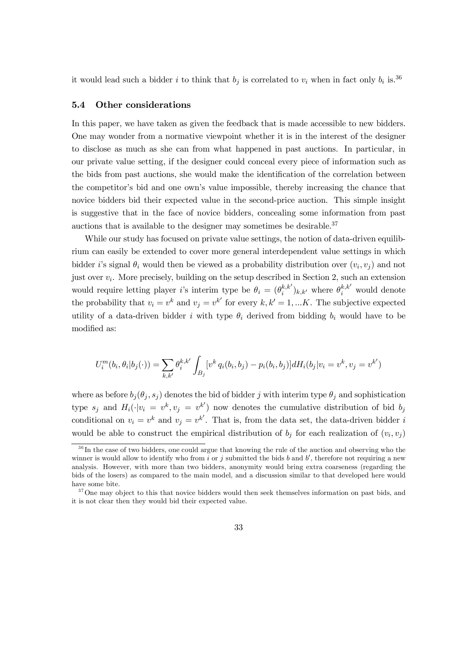it would lead such a bidder *i* to think that  $b_j$  is correlated to  $v_i$  when in fact only  $b_i$  is.<sup>36</sup>

#### 5.4 Other considerations

In this paper, we have taken as given the feedback that is made accessible to new bidders. One may wonder from a normative viewpoint whether it is in the interest of the designer to disclose as much as she can from what happened in past auctions. In particular, in our private value setting, if the designer could conceal every piece of information such as the bids from past auctions, she would make the identification of the correlation between the competitor's bid and one own's value impossible, thereby increasing the chance that novice bidders bid their expected value in the second-price auction. This simple insight is suggestive that in the face of novice bidders, concealing some information from past auctions that is available to the designer may sometimes be desirable. 37

While our study has focused on private value settings, the notion of data-driven equilibrium can easily be extended to cover more general interdependent value settings in which bidder *i*'s signal  $\theta_i$  would then be viewed as a probability distribution over  $(v_i, v_j)$  and not just over  $v_i$ . More precisely, building on the setup described in Section 2, such an extension would require letting player *i*'s interim type be  $\theta_i = (\theta_i^{k,k'})_{k,k'}$  where  $\theta_i^{k,k'}$  would denote the probability that  $v_i = v^k$  and  $v_j = v^{k'}$  for every  $k, k' = 1, ... K$ . The subjective expected utility of a data-driven bidder *i* with type  $\theta_i$  derived from bidding  $b_i$  would have to be modified as:

$$
U_i^m(b_i, \theta_i | b_j(\cdot)) = \sum_{k,k'} \theta_i^{k,k'} \int_{B_j} [v^k q_i(b_i, b_j) - p_i(b_i, b_j)] dH_i(b_j | v_i = v^k, v_j = v^{k'})
$$

where as before  $b_j(\theta_j, s_j)$  denotes the bid of bidder j with interim type  $\theta_j$  and sophistication type  $s_j$  and  $H_i(\cdot|v_i = v^k, v_j = v^{k'})$  now denotes the cumulative distribution of bid  $b_j$ conditional on  $v_i = v^k$  and  $v_j = v^{k'}$ . That is, from the data set, the data-driven bidder i would be able to construct the empirical distribution of  $b_i$  for each realization of  $(v_i, v_j)$ 

<sup>&</sup>lt;sup>36</sup>In the case of two bidders, one could argue that knowing the rule of the auction and observing who the winner is would allow to identify who from *i* or *j* submitted the bids *b* and *b'*, therefore not requiring a new analysis. However, with more than two bidders, anonymity would bring extra coarseness (regarding the bids of the losers) as compared to the main model, and a discussion similar to that developed here would have some bite.

<sup>&</sup>lt;sup>37</sup>One may object to this that novice bidders would then seek themselves information on past bids, and it is not clear then they would bid their expected value.

<sup>33</sup>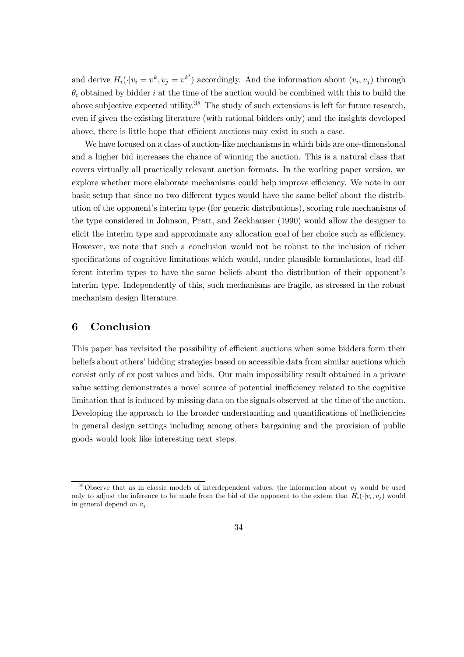and derive  $H_i(\cdot|v_i = v^k, v_j = v^{k'})$  accordingly. And the information about  $(v_i, v_j)$  through  $\theta_i$  obtained by bidder *i* at the time of the auction would be combined with this to build the above subjective expected utility.<sup>38</sup> The study of such extensions is left for future research, even if given the existing literature (with rational bidders only) and the insights developed above, there is little hope that efficient auctions may exist in such a case.

We have focused on a class of auction-like mechanisms in which bids are one-dimensional and a higher bid increases the chance of winning the auction. This is a natural class that covers virtually all practically relevant auction formats. In the working paper version, we explore whether more elaborate mechanisms could help improve efficiency. We note in our basic setup that since no two different types would have the same belief about the distribution of the opponent's interim type (for generic distributions), scoring rule mechanisms of the type considered in Johnson, Pratt, and Zeckhauser (1990) would allow the designer to elicit the interim type and approximate any allocation goal of her choice such as efficiency. However, we note that such a conclusion would not be robust to the inclusion of richer specifications of cognitive limitations which would, under plausible formulations, lead different interim types to have the same beliefs about the distribution of their opponent's interim type. Independently of this, such mechanisms are fragile, as stressed in the robust mechanism design literature.

# 6 Conclusion

This paper has revisited the possibility of efficient auctions when some bidders form their beliefs about others' bidding strategies based on accessible data from similar auctions which consist only of ex post values and bids. Our main impossibility result obtained in a private value setting demonstrates a novel source of potential inefficiency related to the cognitive limitation that is induced by missing data on the signals observed at the time of the auction. Developing the approach to the broader understanding and quantifications of inefficiencies in general design settings including among others bargaining and the provision of public goods would look like interesting next steps.

<sup>&</sup>lt;sup>38</sup>Observe that as in classic models of interdependent values, the information about  $v_i$  would be used only to adjust the inference to be made from the bid of the opponent to the extent that  $H_i(\cdot|v_i, v_j)$  would in general depend on  $v_i$ .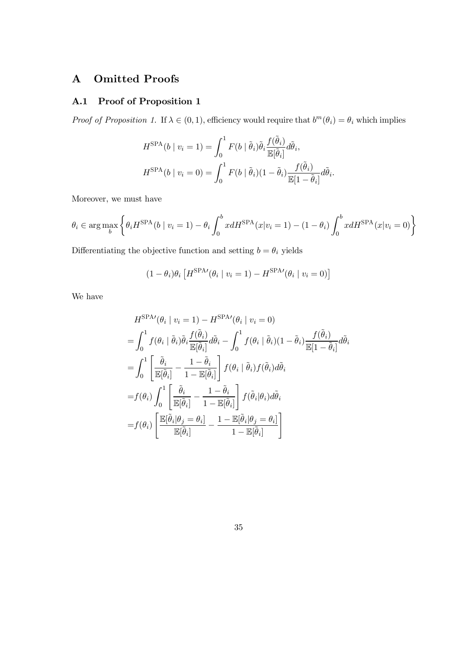# A Omitted Proofs

# A.1 Proof of Proposition 1

*Proof of Proposition 1.* If  $\lambda \in (0, 1)$ , efficiency would require that  $b^m(\theta_i) = \theta_i$  which implies

$$
H^{\text{SPA}}(b \mid v_i = 1) = \int_0^1 F(b \mid \tilde{\theta}_i) \tilde{\theta}_i \frac{f(\tilde{\theta}_i)}{\mathbb{E}[\tilde{\theta}_i]} d\tilde{\theta}_i,
$$
  

$$
H^{\text{SPA}}(b \mid v_i = 0) = \int_0^1 F(b \mid \tilde{\theta}_i) (1 - \tilde{\theta}_i) \frac{f(\tilde{\theta}_i)}{\mathbb{E}[1 - \tilde{\theta}_i]} d\tilde{\theta}_i.
$$

Moreover, we must have

$$
\theta_i \in \arg\max_b \left\{ \theta_i H^{\text{SPA}}(b \mid v_i = 1) - \theta_i \int_0^b x dH^{\text{SPA}}(x | v_i = 1) - (1 - \theta_i) \int_0^b x dH^{\text{SPA}}(x | v_i = 0) \right\}
$$

Differentiating the objective function and setting  $b=\theta_i$  yields

$$
(1 - \theta_i)\theta_i \left[ H^{\text{SPA}}(\theta_i \mid v_i = 1) - H^{\text{SPA}}(\theta_i \mid v_i = 0) \right]
$$

We have

$$
H^{\text{SPA} \prime}(\theta_i \mid v_i = 1) - H^{\text{SPA} \prime}(\theta_i \mid v_i = 0)
$$
  
\n
$$
= \int_0^1 f(\theta_i \mid \tilde{\theta}_i) \tilde{\theta}_i \frac{f(\tilde{\theta}_i)}{\mathbb{E}[\tilde{\theta}_i]} d\tilde{\theta}_i - \int_0^1 f(\theta_i \mid \tilde{\theta}_i) (1 - \tilde{\theta}_i) \frac{f(\tilde{\theta}_i)}{\mathbb{E}[1 - \tilde{\theta}_i]} d\tilde{\theta}_i
$$
  
\n
$$
= \int_0^1 \left[ \frac{\tilde{\theta}_i}{\mathbb{E}[\tilde{\theta}_i]} - \frac{1 - \tilde{\theta}_i}{1 - \mathbb{E}[\tilde{\theta}_i]} \right] f(\theta_i \mid \tilde{\theta}_i) f(\tilde{\theta}_i) d\tilde{\theta}_i
$$
  
\n
$$
= f(\theta_i) \int_0^1 \left[ \frac{\tilde{\theta}_i}{\mathbb{E}[\tilde{\theta}_i]} - \frac{1 - \tilde{\theta}_i}{1 - \mathbb{E}[\tilde{\theta}_i]} \right] f(\tilde{\theta}_i | \theta_i) d\tilde{\theta}_i
$$
  
\n
$$
= f(\theta_i) \left[ \frac{\mathbb{E}[\tilde{\theta}_i | \theta_j = \theta_i]}{\mathbb{E}[\tilde{\theta}_i]} - \frac{1 - \mathbb{E}[\tilde{\theta}_i | \theta_j = \theta_i]}{1 - \mathbb{E}[\tilde{\theta}_i]} \right]
$$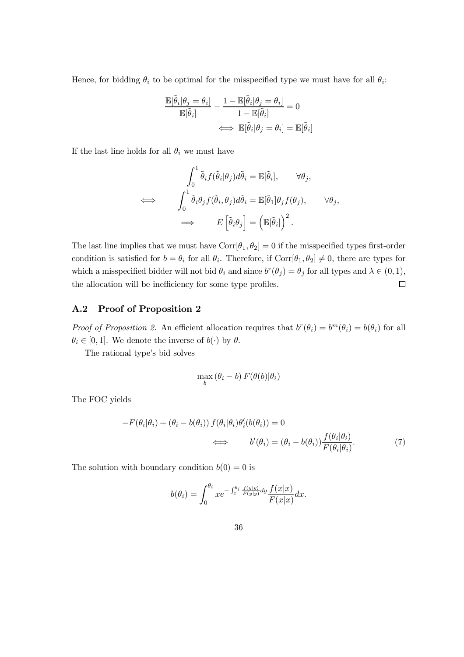Hence, for bidding  $\theta_i$  to be optimal for the misspecified type we must have for all  $\theta_i$ :

$$
\frac{\mathbb{E}[\tilde{\theta}_i|\theta_j = \theta_i]}{\mathbb{E}[\tilde{\theta}_i]} - \frac{1 - \mathbb{E}[\tilde{\theta}_i|\theta_j = \theta_i]}{1 - \mathbb{E}[\tilde{\theta}_i]} = 0
$$
  

$$
\iff \mathbb{E}[\tilde{\theta}_i|\theta_j = \theta_i] = \mathbb{E}[\tilde{\theta}_i]
$$

If the last line holds for all  $\theta_i$  we must have

$$
\int_0^1 \tilde{\theta}_i f(\tilde{\theta}_i | \theta_j) d\tilde{\theta}_i = \mathbb{E}[\tilde{\theta}_i], \qquad \forall \theta_j,
$$
  

$$
\iff \qquad \int_0^1 \tilde{\theta}_i \theta_j f(\tilde{\theta}_i, \theta_j) d\tilde{\theta}_i = \mathbb{E}[\tilde{\theta}_1] \theta_j f(\theta_j), \qquad \forall \theta_j,
$$
  

$$
\implies \qquad E\left[\tilde{\theta}_i \theta_j\right] = \left(\mathbb{E}[\tilde{\theta}_i]\right)^2.
$$

The last line implies that we must have  $Corr[\theta_1, \theta_2] = 0$  if the misspecified types first-order condition is satisfied for  $b = \theta_i$  for all  $\theta_i$ . Therefore, if Corr $[\theta_1, \theta_2] \neq 0$ , there are types for which a misspecified bidder will not bid  $\theta_i$  and since  $b^r(\theta_j) = \theta_j$  for all types and  $\lambda \in (0, 1)$ , the allocation will be inefficiency for some type profiles.  $\Box$ 

## A.2 Proof of Proposition 2

Proof of Proposition 2. An efficient allocation requires that  $b^r(\theta_i) = b^m(\theta_i) = b(\theta_i)$  for all  $\theta_i \in [0, 1]$ . We denote the inverse of  $b(\cdot)$  by  $\theta$ .

The rational type's bid solves

$$
\max_b (\theta_i - b) F(\theta(b) | \theta_i)
$$

The FOC yields

$$
-F(\theta_i|\theta_i) + (\theta_i - b(\theta_i)) f(\theta_i|\theta_i)\theta'_i(b(\theta_i)) = 0
$$
  

$$
\iff b'(\theta_i) = (\theta_i - b(\theta_i)) \frac{f(\theta_i|\theta_i)}{F(\theta_i|\theta_i)}.
$$
 (7)

The solution with boundary condition  $b(0) = 0$  is

$$
b(\theta_i) = \int_0^{\theta_i} x e^{-\int_x^{\theta_i} \frac{f(y|y)}{F(y|y)} dy} \frac{f(x|x)}{F(x|x)} dx.
$$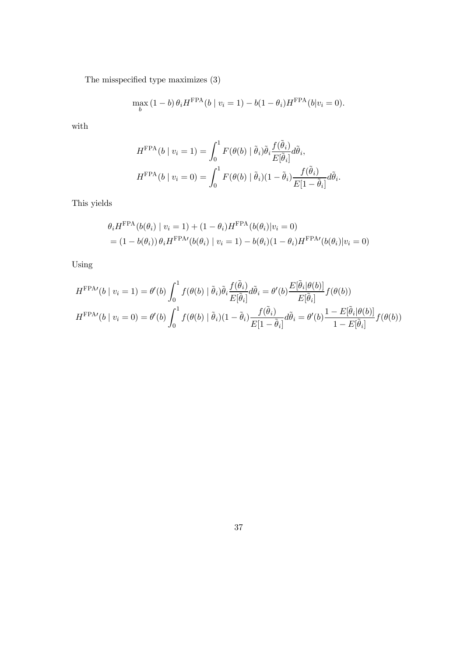The misspecified type maximizes (3)

$$
\max_{b} (1 - b) \theta_i H^{\text{FPA}}(b \mid v_i = 1) - b(1 - \theta_i) H^{\text{FPA}}(b \mid v_i = 0).
$$

with

$$
H^{\text{FPA}}(b \mid v_i = 1) = \int_0^1 F(\theta(b) \mid \tilde{\theta}_i) \tilde{\theta}_i \frac{f(\tilde{\theta}_i)}{E[\tilde{\theta}_i]} d\tilde{\theta}_i,
$$
  

$$
H^{\text{FPA}}(b \mid v_i = 0) = \int_0^1 F(\theta(b) \mid \tilde{\theta}_i) (1 - \tilde{\theta}_i) \frac{f(\tilde{\theta}_i)}{E[1 - \tilde{\theta}_i]} d\tilde{\theta}_i.
$$

This yields

$$
\theta_i H^{\text{FPA}}(b(\theta_i) | v_i = 1) + (1 - \theta_i) H^{\text{FPA}}(b(\theta_i) | v_i = 0)
$$
  
=  $(1 - b(\theta_i)) \theta_i H^{\text{FPA}}(b(\theta_i) | v_i = 1) - b(\theta_i)(1 - \theta_i) H^{\text{FPA}}(b(\theta_i) | v_i = 0)$ 

Using

$$
H^{\text{FPA}\prime}(b \mid v_i = 1) = \theta'(b) \int_0^1 f(\theta(b) \mid \tilde{\theta}_i) \tilde{\theta}_i \frac{f(\tilde{\theta}_i)}{E[\tilde{\theta}_i]} d\tilde{\theta}_i = \theta'(b) \frac{E[\tilde{\theta}_i | \theta(b)]}{E[\tilde{\theta}_i]} f(\theta(b))
$$
  

$$
H^{\text{FPA}\prime}(b \mid v_i = 0) = \theta'(b) \int_0^1 f(\theta(b) \mid \tilde{\theta}_i) (1 - \tilde{\theta}_i) \frac{f(\tilde{\theta}_i)}{E[1 - \tilde{\theta}_i]} d\tilde{\theta}_i = \theta'(b) \frac{1 - E[\tilde{\theta}_i | \theta(b)]}{1 - E[\tilde{\theta}_i]} f(\theta(b))
$$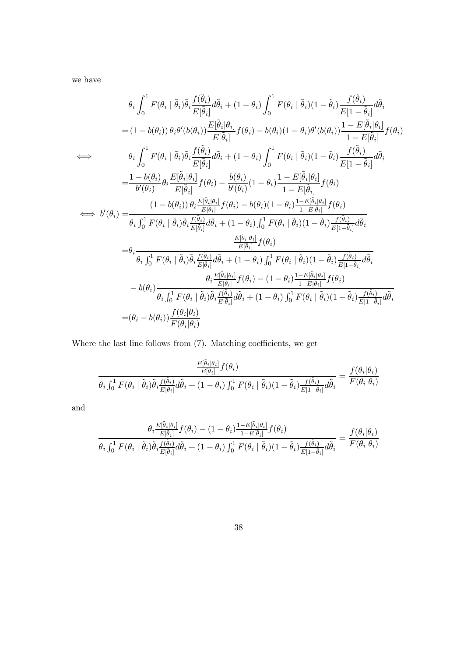we have

$$
\theta_{i} \int_{0}^{1} F(\theta_{i} \mid \tilde{\theta}_{i}) \tilde{\theta}_{i} \frac{f(\tilde{\theta}_{i})}{E[\tilde{\theta}_{i}]} d\tilde{\theta}_{i} + (1 - \theta_{i}) \int_{0}^{1} F(\theta_{i} \mid \tilde{\theta}_{i}) (1 - \tilde{\theta}_{i}) \frac{f(\tilde{\theta}_{i})}{E[1 - \tilde{\theta}_{i}]} d\tilde{\theta}_{i}
$$
\n
$$
= (1 - b(\theta_{i})) \theta_{i} \theta'(b(\theta_{i})) \frac{E[\tilde{\theta}_{i} | \theta_{i}]}{E[\tilde{\theta}_{i}]} f(\theta_{i}) - b(\theta_{i}) (1 - \theta_{i}) \theta'(b(\theta_{i})) \frac{1 - E[\tilde{\theta}_{i} | \theta_{i}]}{1 - E[\tilde{\theta}_{i}]} f(\theta_{i})
$$
\n
$$
\Longleftrightarrow \theta_{i} \int_{0}^{1} F(\theta_{i} \mid \tilde{\theta}_{i}) \tilde{\theta}_{i} \frac{f(\tilde{\theta}_{i})}{E[\tilde{\theta}_{i}]} d\tilde{\theta}_{i} + (1 - \theta_{i}) \int_{0}^{1} F(\theta_{i} \mid \tilde{\theta}_{i}) (1 - \tilde{\theta}_{i}) \frac{f(\tilde{\theta}_{i})}{E[1 - \tilde{\theta}_{i}]} d\tilde{\theta}_{i}
$$
\n
$$
= \frac{1 - b(\theta_{i})}{b'(\theta_{i})} \theta_{i} \frac{E[\tilde{\theta}_{i} | \theta_{i}]}{E[\tilde{\theta}_{i}]} f(\theta_{i}) - \frac{b(\theta_{i})}{b'(\theta_{i})} (1 - \theta_{i}) \frac{1 - E[\tilde{\theta}_{i} | \theta_{i}]}{1 - E[\tilde{\theta}_{i}]} f(\theta_{i})
$$
\n
$$
\Longleftrightarrow b'(\theta_{i}) = \frac{(1 - b(\theta_{i})) \theta_{i} \frac{E[\tilde{\theta}_{i} | \theta_{i}]}{E[\tilde{\theta}_{i}]} f(\theta_{i}) - b(\theta_{i}) (1 - \theta_{i}) \frac{1 - E[\tilde{\theta}_{i} | \theta_{i}]}{1 - E[\tilde{\theta}_{i}]} f(\theta_{i})}
$$
\n
$$
= \theta_{i} \frac{E[\tilde{\theta}_{i} | \theta_{i}]}{b_{i} \int_{0}^{1} F(\theta_{i}
$$

Where the last line follows from  $(7)$ . Matching coefficients, we get

$$
\frac{\frac{E[\tilde{\theta}_{i}|\theta_{i}]}{E[\tilde{\theta}_{i}]}f(\theta_{i})}{\theta_{i}\int_{0}^{1}F(\theta_{i}\mid\tilde{\theta}_{i})\tilde{\theta}_{i}\frac{f(\tilde{\theta}_{i})}{E[\tilde{\theta}_{i}]}d\tilde{\theta}_{i} + (1-\theta_{i})\int_{0}^{1}F(\theta_{i}\mid\tilde{\theta}_{i})(1-\tilde{\theta}_{i})\frac{f(\tilde{\theta}_{i})}{E[1-\tilde{\theta}_{i}]}d\tilde{\theta}_{i}} = \frac{f(\theta_{i}|\theta_{i})}{F(\theta_{i}|\theta_{i})}
$$

and

$$
\frac{\theta_i \frac{E[\tilde{\theta}_i|\theta_i]}{E[\tilde{\theta}_i]} f(\theta_i) - (1 - \theta_i) \frac{1 - E[\tilde{\theta}_i|\theta_i]}{1 - E[\tilde{\theta}_i]} f(\theta_i)}{\theta_i \int_0^1 F(\theta_i \mid \tilde{\theta}_i) \tilde{\theta}_i \frac{f(\tilde{\theta}_i)}{E[\tilde{\theta}_i]} d\tilde{\theta}_i + (1 - \theta_i) \int_0^1 F(\theta_i \mid \tilde{\theta}_i) (1 - \tilde{\theta}_i) \frac{f(\tilde{\theta}_i)}{E[1 - \tilde{\theta}_i]} d\tilde{\theta}_i} = \frac{f(\theta_i|\theta_i)}{F(\theta_i|\theta_i)}
$$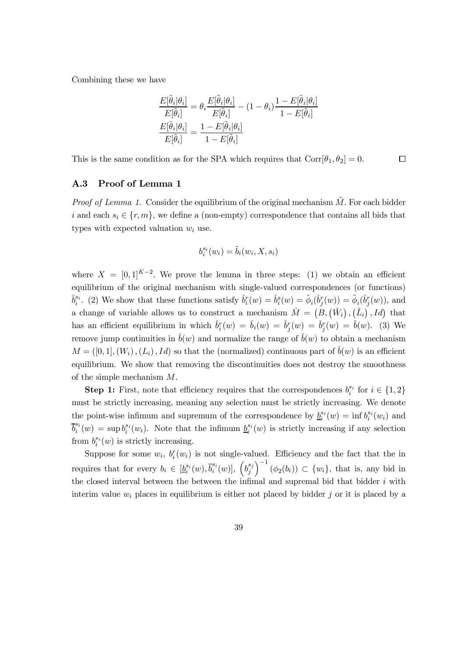Combining these we have

$$
\frac{E[\tilde{\theta}_{i}|\theta_{i}]}{E[\tilde{\theta}_{i}]} = \theta_{i} \frac{E[\tilde{\theta}_{i}|\theta_{i}]}{E[\tilde{\theta}_{i}]} - (1 - \theta_{i}) \frac{1 - E[\tilde{\theta}_{i}|\theta_{i}]}{1 - E[\tilde{\theta}_{i}]} \n\frac{E[\tilde{\theta}_{i}|\theta_{i}]}{E[\tilde{\theta}_{i}]} = \frac{1 - E[\tilde{\theta}_{i}|\theta_{i}]}{1 - E[\tilde{\theta}_{i}]}
$$

 $\Box$ This is the same condition as for the SPA which requires that  $Corr[\theta_1, \theta_2] = 0$ .

## A.3 Proof of Lemma 1

*Proof of Lemma 1.* Consider the equilibrium of the original mechanism  $\tilde{M}$ . For each bidder i and each  $s_i \in \{r, m\}$ , we define a (non-empty) correspondence that contains all bids that types with expected valuation  $w_i$  use.

$$
b_i^{s_i}(w_i) = \tilde{b}_i(w_i, X, s_i)
$$

where  $X = [0,1]^{K-2}$ . We prove the lemma in three steps: (1) we obtain an efficient equilibrium of the original mechanism with single-valued correspondences (or functions)  $\hat{b}_i^{s_i}$ . (2) We show that these functions satisfy  $\hat{b}_i^r(w) = \hat{b}_i^s(w) = \tilde{\phi}_i(\hat{b}_j^r(w)) = \tilde{\phi}_i(\hat{b}_j^r(w))$ , and a change of variable allows us to construct a mechanism  $\check{M} = (B, (\check{W}_i), (\check{L}_i), Id)$  that has an efficient equilibrium in which  $\check{b}_i^r(w) = \check{b}_i(w) = \check{b}_j^r(w) = \check{b}_j^r(w) = \check{b}(w)$ . (3) We remove jump continuities in  $\check{b}(w)$  and normalize the range of  $\check{b}(w)$  to obtain a mechanism  $M = ([0, 1], (W_i), (L_i), Id)$  so that the (normalized) continuous part of  $\check{b}(w)$  is an efficient equilibrium. We show that removing the discontinuities does not destroy the smoothness of the simple mechanism  $M$ .

**Step 1:** First, note that efficiency requires that the correspondences  $b_i^{s_i}$  for  $i \in \{1,2\}$ must be strictly increasing, meaning any selection must be strictly increasing. We denote the point-wise infimum and supremum of the correspondence by  $\underline{b}_i^{s_i}(w) = \inf b_i^{s_i}(w_i)$  and  $\overline{b}_i^{s_i}$  $s_i(s_i(w)) = \sup b_i^{s_i}(w_i)$ . Note that the infimum  $\underline{b}_i^{s_i}(w)$  is strictly increasing if any selection from  $b_i^{s_i}(w)$  is strictly increasing.

Suppose for some  $w_i$ ,  $b_i^r(w_i)$  is not single-valued. Efficiency and the fact that the in requires that for every  $b_i \in [\underline{b}_i^{s_i}(w), \overline{b}_i^{s_i}]$  $_{i}^{s_{i}}(w)$ ],  $\left(b_{j}^{s_{j}}\right)$ j  $\Big)^{-1}$   $(\phi_2(b_i)) \subset \{w_i\}$ , that is, any bid in the closed interval between the between the infimal and supremal bid that bidder  $i$  with interim value  $w_i$  places in equilibrium is either not placed by bidder j or it is placed by a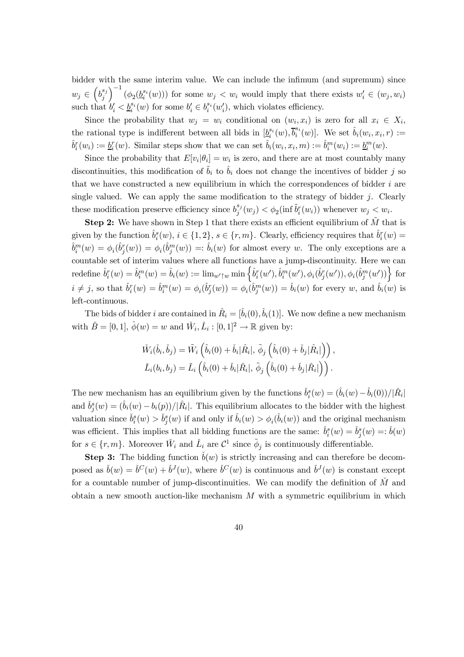bidder with the same interim value. We can include the infimum (and supremum) since  $w_j \in \left(b_j^{s_j}\right)$ j  $\int_{0}^{-1} (\phi_2(b_i^{s_i}(w)))$  for some  $w_j \langle w_i \rangle$  would imply that there exists  $w'_i \in (w_j, w_i)$ such that  $b'_i < \underline{b}_i^{s_i}(w)$  for some  $b'_i \in b_i^{s_i}(w'_i)$ , which violates efficiency.

Since the probability that  $w_j = w_i$  conditional on  $(w_i, x_i)$  is zero for all  $x_i \in X_i$ , the rational type is indifferent between all bids in  $[\underline{b}_i^{s_i}(w), \overline{b}_i^{s_i}]$  $\hat{b}_i(w)$ . We set  $\hat{b}_i(w_i, x_i, r) :=$  $\hat{b}^r_i(w_i) := \underline{b}^r_i(w)$ . Similar steps show that we can set  $\hat{b}_i(w_i, x_i, m) := \hat{b}^m_i(w_i) := \underline{b}^m_i(w)$ .

Since the probability that  $E[v_i|\theta_i] = w_i$  is zero, and there are at most countably many discontinuities, this modification of  $\tilde{b}_i$  to  $\hat{b}_i$  does not change the incentives of bidder j so that we have constructed a new equilibrium in which the correspondences of bidder  $i$  are single valued. We can apply the same modification to the strategy of bidder  $j$ . Clearly these modification preserve efficiency since  $b_j^{s_j}$  $\delta_j^{s_j}(w_j) < \phi_2(\inf \tilde{b}_i^r(w_i))$  whenever  $w_j < w_i$ .

**Step 2:** We have shown in Step 1 that there exists an efficient equilibrium of  $M$  that is given by the function  $\hat{b}_i^s(w), i \in \{1,2\}, s \in \{r, m\}$ . Clearly, efficiency requires that  $\hat{b}_i^r(w) =$  $\hat{b}^m_i(w) = \phi_i(\hat{b}^r_j(w)) = \phi_i(\hat{b}^m_j(w)) =: \hat{b}_i(w)$  for almost every w. The only exceptions are a countable set of interim values where all functions have a jump-discontinuity. Here we can  ${\rm redefine} \; \hat{b}^r_i(w) = \hat{b}^m_i(w) = \hat{b}_i(w) := \lim_{w' \uparrow w} \min \left\{ \hat{b}^r_i(w'), \hat{b}^m_i(w'), \phi_i(\hat{b}^r_j(w')), \phi_i(\hat{b}^m_j(w')) \right\}$  for  $i \neq j$ , so that  $\hat{b}_i^r(w) = \hat{b}_i^m(w) = \phi_i(\hat{b}_j^r(w)) = \phi_i(\hat{b}_j^m(w)) = \hat{b}_i(w)$  for every w, and  $\hat{b}_i(w)$  is left-continuous.

The bids of bidder *i* are contained in  $\hat{R}_i = [\hat{b}_i(0), \hat{b}_i(1)]$ . We now define a new mechanism with  $\check{B} = [0, 1], \check{\phi}(w) = w$  and  $\check{W}_i, \check{L}_i : [0, 1]^2 \to \mathbb{R}$  given by:

$$
\check{W}_i(\check{b}_i, \check{b}_j) = \tilde{W}_i\left(\hat{b}_i(0) + \check{b}_i|\hat{R}_i|, \tilde{\phi}_j\left(\hat{b}_i(0) + \check{b}_j|\hat{R}_i|\right)\right),
$$
\n
$$
\check{L}_i(b_i, b_j) = \tilde{L}_i\left(\hat{b}_i(0) + \check{b}_i|\hat{R}_i|, \tilde{\phi}_j\left(\hat{b}_i(0) + \check{b}_j|\hat{R}_i|\right)\right).
$$

The new mechanism has an equilibrium given by the functions  $\check{b}_i^s(w) = (\hat{b}_i(w) - \hat{b}_i(0))/|\hat{R}_i|$ and  $\check{b}_j^s(w) = (\hat{b}_i(w) - b_i(p))/|\hat{R}_i|$ . This equilibrium allocates to the bidder with the highest valuation since  $\check{b}_i^s(w) > \check{b}_j^s(w)$  if and only if  $\hat{b}_i(w) > \phi_i(\hat{b}_i(w))$  and the original mechanism was efficient. This implies that all bidding functions are the same:  $\check{b}_i^s(w) = \check{b}_j^s(w) = \check{b}(w)$ for  $s \in \{r, m\}$ . Moreover  $\check{W}_i$  and  $\check{L}_i$  are  $\mathcal{C}^1$  since  $\tilde{\phi}_j$  is continuously differentiable.

**Step 3:** The bidding function  $\check{b}(w)$  is strictly increasing and can therefore be decomposed as  $\check{b}(w) = \check{b}^C(w) + \check{b}^J(w)$ , where  $\check{b}^C(w)$  is continuous and  $\check{b}^J(w)$  is constant except for a countable number of jump-discontinuities. We can modify the definition of  $\check{M}$  and obtain a new smooth auction-like mechanism  $M$  with a symmetric equilibrium in which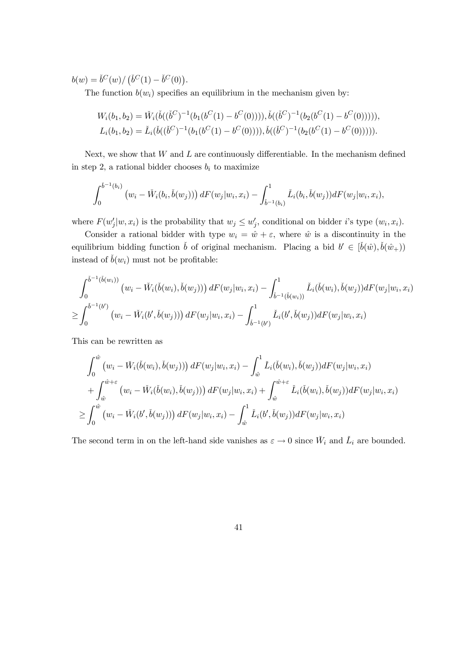$b(w) = \check{b}^C(w) / (\check{b}^C(1) - \check{b}^C(0)).$ 

The function  $b(w_i)$  specifies an equilibrium in the mechanism given by:

$$
W_i(b_1, b_2) = \check{W}_i(\check{b}((\check{b}^C)^{-1}(b_1(b^C(1) - b^C(0)))) , \check{b}((\check{b}^C)^{-1}(b_2(b^C(1) - b^C(0)))) ),
$$
  
\n
$$
L_i(b_1, b_2) = \check{L}_i(\check{b}((\check{b}^C)^{-1}(b_1(b^C(1) - b^C(0)))) , \check{b}((\check{b}^C)^{-1}(b_2(b^C(1) - b^C(0)))) ).
$$

Next, we show that  $W$  and  $L$  are continuously differentiable. In the mechanism defined in step 2, a rational bidder chooses  $b_i$  to maximize

$$
\int_0^{\check{b}^{-1}(b_i)} (w_i - \check{W}_i(b_i, \check{b}(w_j))) dF(w_j|w_i, x_i) - \int_{\check{b}^{-1}(b_i)}^1 \check{L}_i(b_i, \check{b}(w_j)) dF(w_j|w_i, x_i),
$$

where  $F(w'_j | w, x_i)$  is the probability that  $w_j \leq w'_j$ , conditional on bidder *i*'s type  $(w_i, x_i)$ .

Consider a rational bidder with type  $w_i = \hat{w} + \varepsilon$ , where  $\hat{w}$  is a discontinuity in the equilibrium bidding function  $\check{b}$  of original mechanism. Placing a bid  $b' \in [\check{b}(\hat{w}), \check{b}(\hat{w}_+))$ instead of  $\check{b}(w_i)$  must not be profitable:

$$
\int_0^{\check{b}^{-1}(\check{b}(w_i))} (w_i - \check{W}_i(\check{b}(w_i), \check{b}(w_j))) dF(w_j|w_i, x_i) - \int_{\check{b}^{-1}(\check{b}(w_i))}^1 \check{L}_i(\check{b}(w_i), \check{b}(w_j)) dF(w_j|w_i, x_i)
$$
  
\n
$$
\geq \int_0^{\check{b}^{-1}(b')} (w_i - \check{W}_i(b', \check{b}(w_j))) dF(w_j|w_i, x_i) - \int_{\check{b}^{-1}(b')}^1 \check{L}_i(b', \check{b}(w_j)) dF(w_j|w_i, x_i)
$$

This can be rewritten as

$$
\int_{0}^{\hat{w}} (w_i - \check{W}_i(\check{b}(w_i), \check{b}(w_j))) dF(w_j|w_i, x_i) - \int_{\hat{w}}^1 \check{L}_i(\check{b}(w_i), \check{b}(w_j)) dF(w_j|w_i, x_i) \n+ \int_{\hat{w}}^{\hat{w}+\varepsilon} (w_i - \check{W}_i(\check{b}(w_i), \check{b}(w_j))) dF(w_j|w_i, x_i) + \int_{\hat{w}}^{\hat{w}+\varepsilon} \check{L}_i(\check{b}(w_i), \check{b}(w_j)) dF(w_j|w_i, x_i) \n\geq \int_{0}^{\hat{w}} (w_i - \check{W}_i(b', \check{b}(w_j))) dF(w_j|w_i, x_i) - \int_{\hat{w}}^1 \check{L}_i(b', \check{b}(w_j)) dF(w_j|w_i, x_i)
$$

The second term in on the left-hand side vanishes as  $\varepsilon \to 0$  since  $\check{W}_i$  and  $\check{L}_i$  are bounded.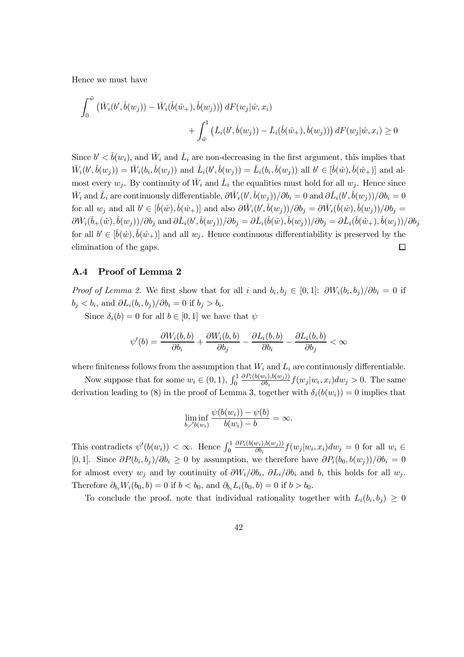Hence we must have

$$
\int_0^{\hat{w}} (\check{W}_i(b',\check{b}(w_j)) - \check{W}_i(\check{b}(\hat{w}_+),\check{b}(w_j))) dF(w_j|\hat{w}, x_i) + \int_{\hat{w}}^1 (\check{L}_i(b',\check{b}(w_j)) - \check{L}_i(\check{b}(\hat{w}_+),\check{b}(w_j))) dF(w_j|\hat{w}, x_i) \ge 0
$$

Since  $b' < \check{b}(w_i)$ , and  $\check{W}_i$  and  $\check{L}_i$  are non-decreasing in the first argument, this implies that  $\check{W}_i(b',\check{b}(w_j)) = \check{W}_i(b_i,\check{b}(w_j))$  and  $\check{L}_i(b',\check{b}(w_j)) = \check{L}_i(b_i,\check{b}(w_j))$  all  $b' \in [\check{b}(\hat{w}),\check{b}(\hat{w}_+)]$  and almost every  $w_j$ . By continuity of  $\check{W}_i$  and  $\check{L}_i$  the equalities must hold for all  $w_j$ . Hence since  $\check{W}_i$  and  $\check{L}_i$  are continuously differentiable,  $\partial \check{W}_i(b',\check{b}(w_j))/\partial b_i = 0$  and  $\partial \check{L}_i(b',\check{b}(w_j))/\partial b_i = 0$ for all  $w_j$  and all  $b' \in [\check{b}(\hat{w}), \check{b}(\hat{w}_+)]$  and also  $\partial \check{W}_i(b', \check{b}(w_j))/\partial b_j = \partial \check{W}_i(\check{b}(\hat{w}), \check{b}(w_j))/\partial b_j =$  $\partial \check{W}_i(\check{b}_+(\hat{w}),\check{b}(w_j))/\partial b_j \text{ and } \partial \check{L}_i(b',\check{b}(w_j))/\partial b_j = \partial \check{L}_i(\check{b}(\hat{w}),\check{b}(w_j))/\partial b_j = \partial \check{L}_i(\check{b}(\hat{w}_+),\check{b}(w_j))/\partial b_j$ for all  $b' \in [\check{b}(\hat{w}), \check{b}(\hat{w}_+)]$  and all  $w_j$ . Hence continuous differentiability is preserved by the elimination of the gaps.  $\Box$ 

### A.4 Proof of Lemma 2

*Proof of Lemma 2.* We first show that for all i and  $b_i, b_j \in [0, 1]$ :  $\partial W_i(b_i, b_j)/\partial b_i = 0$  if  $b_j < b_i$ , and  $\partial L_i(b_i, b_j)/\partial b_i = 0$  if  $b_j > b_i$ .

Since  $\delta_i(b) = 0$  for all  $b \in [0, 1]$  we have that  $\psi$ 

$$
\psi'(b) = \frac{\partial W_i(b, b)}{\partial b_i} + \frac{\partial W_i(b, b)}{\partial b_j} - \frac{\partial L_i(b, b)}{\partial b_i} - \frac{\partial L_i(b, b)}{\partial b_j} < \infty
$$

where finiteness follows from the assumption that  $W_i$  and  $L_i$  are continuously differentiable.

Now suppose that for some  $w_i \in (0,1)$ ,  $\int_0^1$  $\partial P_i(b(w_i),b(w_j))$  $\frac{\partial w_i j, o(w_j) j}{\partial b_i} f(w_j | w_i, x_i) dw_j > 0$ . The same derivation leading to (8) in the proof of Lemma 3, together with  $\delta_i(b(w_i)) = 0$  implies that

$$
\liminf_{b \nearrow b(w_i)} \frac{\psi(b(w_i)) - \psi(b)}{b(w_i) - b} = \infty.
$$

This contradicts  $\psi'(b(w_i)) < \infty$ . Hence  $\int_0^1$  $\partial P_i(b(w_i),b(w_j))$  $\frac{(\partial w_i, \partial (w_j))}{\partial b_i} f(w_j|w_i, x_i) dw_j = 0$  for all  $w_i \in$ [0, 1]. Since  $\partial P(b_i, b_j)/\partial b_i \ge 0$  by assumption, we therefore have  $\partial P_i(b_0, b(w_j))/\partial b_i = 0$ for almost every  $w_j$  and by continuity of  $\partial W_i/\partial b_i$ ,  $\partial L_i/\partial b_i$  and b, this holds for all  $w_j$ . Therefore  $\partial_{b_i} W_i(b_0, b) = 0$  if  $b < b_0$ , and  $\partial_{b_i} L_i(b_0, b) = 0$  if  $b > b_0$ .

To conclude the proof, note that individual rationality together with  $L_i(b_i, b_j) \geq 0$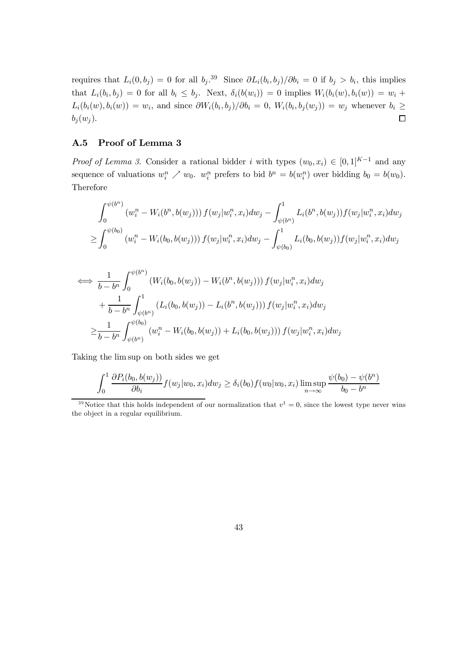requires that  $L_i(0, b_j) = 0$  for all  $b_j$ .<sup>39</sup> Since  $\partial L_i(b_i, b_j)/\partial b_i = 0$  if  $b_j > b_i$ , this implies that  $L_i(b_i, b_j) = 0$  for all  $b_i \leq b_j$ . Next,  $\delta_i(b(w_i)) = 0$  implies  $W_i(b_i(w), b_i(w)) = w_i +$  $L_i(b_i(w), b_i(w)) = w_i$ , and since  $\frac{\partial W_i(b_i, b_j)}{\partial b_i} = 0$ ,  $W_i(b_i, b_j(w_j)) = w_j$  whenever  $b_i \geq$  $\Box$  $b_i(w_i)$ .

## A.5 Proof of Lemma 3

*Proof of Lemma 3.* Consider a rational bidder *i* with types  $(w_0, x_i) \in [0, 1]^{K-1}$  and any sequence of valuations  $w_i^n \nearrow w_0$ .  $w_i^n$  prefers to bid  $b^n = b(w_i^n)$  over bidding  $b_0 = b(w_0)$ . Therefore

$$
\int_0^{\psi(b^n)} (w_i^n - W_i(b^n, b(w_j))) f(w_j|w_i^n, x_i) dw_j - \int_{\psi(b^n)}^1 L_i(b^n, b(w_j)) f(w_j|w_i^n, x_i) dw_j
$$
  
\n
$$
\geq \int_0^{\psi(b_0)} (w_i^n - W_i(b_0, b(w_j))) f(w_j|w_i^n, x_i) dw_j - \int_{\psi(b_0)}^1 L_i(b_0, b(w_j)) f(w_j|w_i^n, x_i) dw_j
$$

$$
\iff \frac{1}{b - b^n} \int_0^{\psi(b^n)} (W_i(b_0, b(w_j)) - W_i(b^n, b(w_j))) f(w_j|w_i^n, x_i) dw_j + \frac{1}{b - b^n} \int_{\psi(b^n)}^1 (L_i(b_0, b(w_j)) - L_i(b^n, b(w_j))) f(w_j|w_i^n, x_i) dw_j \n\geq \frac{1}{b - b^n} \int_{\psi(b^n)}^{\psi(b_0)} (w_i^n - W_i(b_0, b(w_j)) + L_i(b_0, b(w_j))) f(w_j|w_i^n, x_i) dw_j
$$

Taking the lim sup on both sides we get

$$
\int_0^1 \frac{\partial P_i(b_0, b(w_j))}{\partial b_i} f(w_j|w_0, x_i) dw_j \ge \delta_i(b_0) f(w_0|w_0, x_i) \limsup_{n \to \infty} \frac{\psi(b_0) - \psi(b^n)}{b_0 - b^n}
$$

<sup>&</sup>lt;sup>39</sup>Notice that this holds independent of our normalization that  $v^1 = 0$ , since the lowest type never wins the object in a regular equilibrium.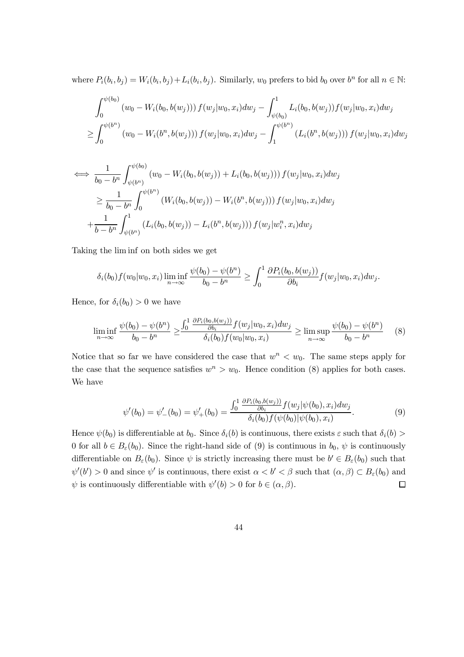where  $P_i(b_i, b_j) = W_i(b_i, b_j) + L_i(b_i, b_j)$ . Similarly,  $w_0$  prefers to bid  $b_0$  over  $b^n$  for all  $n \in \mathbb{N}$ :

$$
\int_0^{\psi(b_0)} (w_0 - W_i(b_0, b(w_j))) f(w_j|w_0, x_i) dw_j - \int_{\psi(b_0)}^1 L_i(b_0, b(w_j)) f(w_j|w_0, x_i) dw_j
$$
  
\n
$$
\geq \int_0^{\psi(b^n)} (w_0 - W_i(b^n, b(w_j))) f(w_j|w_0, x_i) dw_j - \int_1^{\psi(b^n)} (L_i(b^n, b(w_j))) f(w_j|w_0, x_i) dw_j
$$

$$
\iff \frac{1}{b_0 - b^n} \int_{\psi(b^n)}^{\psi(b_0)} (w_0 - W_i(b_0, b(w_j)) + L_i(b_0, b(w_j))) f(w_j|w_0, x_i) dw_j
$$
  
\n
$$
\geq \frac{1}{b_0 - b^n} \int_0^{\psi(b^n)} (W_i(b_0, b(w_j)) - W_i(b^n, b(w_j))) f(w_j|w_0, x_i) dw_j
$$
  
\n
$$
+ \frac{1}{b - b^n} \int_{\psi(b^n)}^1 (L_i(b_0, b(w_j)) - L_i(b^n, b(w_j))) f(w_j|w_i^n, x_i) dw_j
$$

Taking the lim inf on both sides we get

$$
\delta_i(b_0)f(w_0|w_0, x_i)\liminf_{n\to\infty}\frac{\psi(b_0)-\psi(b^n)}{b_0-b^n}\geq \int_0^1\frac{\partial P_i(b_0,b(w_j))}{\partial b_i}f(w_j|w_0, x_i)dw_j.
$$

Hence, for  $\delta_i(b_0) > 0$  we have

$$
\liminf_{n \to \infty} \frac{\psi(b_0) - \psi(b^n)}{b_0 - b^n} \ge \frac{\int_0^1 \frac{\partial P_i(b_0, b(w_j))}{\partial b_i} f(w_j|w_0, x_i) dw_j}{\delta_i(b_0) f(w_0|w_0, x_i)} \ge \limsup_{n \to \infty} \frac{\psi(b_0) - \psi(b^n)}{b_0 - b^n}
$$
(8)

Notice that so far we have considered the case that  $w^n < w_0$ . The same steps apply for the case that the sequence satisfies  $w^n > w_0$ . Hence condition (8) applies for both cases. We have

$$
\psi'(b_0) = \psi'_-(b_0) = \psi'_+(b_0) = \frac{\int_0^1 \frac{\partial P_i(b_0, b(w_j))}{\partial b_i} f(w_j | \psi(b_0), x_i) dw_j}{\delta_i(b_0) f(\psi(b_0) | \psi(b_0), x_i)}.
$$
\n(9)

Hence  $\psi(b_0)$  is differentiable at  $b_0$ . Since  $\delta_i(b)$  is continuous, there exists  $\varepsilon$  such that  $\delta_i(b)$ 0 for all  $b \in B_{\varepsilon}(b_0)$ . Since the right-hand side of (9) is continuous in  $b_0, \psi$  is continuously differentiable on  $B_{\varepsilon}(b_0)$ . Since  $\psi$  is strictly increasing there must be  $b' \in B_{\varepsilon}(b_0)$  such that  $\psi'(b') > 0$  and since  $\psi'$  is continuous, there exist  $\alpha < b' < \beta$  such that  $(\alpha, \beta) \subset B_{\varepsilon}(b_0)$  and  $\Box$  $\psi$  is continuously differentiable with  $\psi'(b) > 0$  for  $b \in (\alpha, \beta)$ .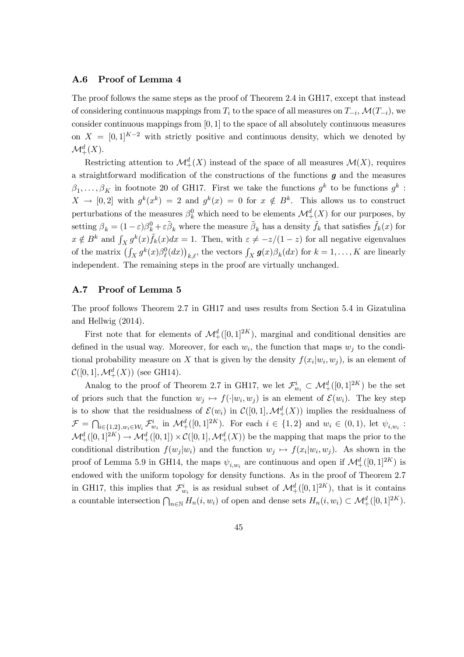#### A.6 Proof of Lemma 4

The proof follows the same steps as the proof of Theorem 2.4 in GH17, except that instead of considering continuous mappings from  $T_i$  to the space of all measures on  $T_{-i}$ ,  $\mathcal{M}(T_{-i})$ , we consider continuous mappings from  $[0, 1]$  to the space of all absolutely continuous measures on  $X = [0,1]^{K-2}$  with strictly positive and continuous density, which we denoted by  $\mathcal{M}^d_+(X).$ 

Restricting attention to  $\mathcal{M}^d_+(X)$  instead of the space of all measures  $\mathcal{M}(X)$ , requires a straightforward modification of the constructions of the functions  $g$  and the measures  $\beta_1, \ldots, \beta_K$  in footnote 20 of GH17. First we take the functions  $g^k$  to be functions  $g^k$ :  $X \to [0,2]$  with  $g^k(x^k) = 2$  and  $g^k(x) = 0$  for  $x \notin B^k$ . This allows us to construct perturbations of the measures  $\beta_k^0$  which need to be elements  $\mathcal{M}^d_+(X)$  for our purposes, by setting  $\beta_k = (1 - \varepsilon)\beta_k^0 + \varepsilon \tilde{\beta}_k$  where the measure  $\tilde{\beta}_k$  has a density  $\tilde{f}_k$  that satisfies  $\tilde{f}_k(x)$  for  $x \notin B^k$  and  $\int_X g^k(x)\tilde{f}_k(x)dx = 1$ . Then, with  $\varepsilon \neq -z/(1-z)$  for all negative eigenvalues of the matrix  $\left(\int_X g^k(x)\beta_\ell^0(dx)\right)_{k,\ell}$ , the vectors  $\int_X g(x)\beta_k(dx)$  for  $k=1,\ldots,K$  are linearly independent. The remaining steps in the proof are virtually unchanged.

## A.7 Proof of Lemma 5

The proof follows Theorem 2.7 in GH17 and uses results from Section 5.4 in Gizatulina and Hellwig (2014).

First note that for elements of  $\mathcal{M}^d_+([0,1]^{2K})$ , marginal and conditional densities are defined in the usual way. Moreover, for each  $w_i$ , the function that maps  $w_j$  to the conditional probability measure on X that is given by the density  $f(x_i | w_i, w_j)$ , is an element of  $\mathcal{C}([0,1], \mathcal{M}^d_+(X))$  (see GH14).

Analog to the proof of Theorem 2.7 in GH17, we let  $\mathcal{F}_{w_i}^i \subset \mathcal{M}_+^d([0,1]^{2K})$  be the set of priors such that the function  $w_j \mapsto f(\cdot|w_i, w_j)$  is an element of  $\mathcal{E}(w_i)$ . The key step is to show that the residualness of  $\mathcal{E}(w_i)$  in  $\mathcal{C}([0,1], \mathcal{M}^d_+(X))$  implies the residualness of  $\mathcal{F} = \bigcap_{i \in \{1,2\}, w_i \in \mathcal{W}_i} \mathcal{F}^i_{w_i}$  in  $\mathcal{M}^d_+([0,1]^{2K})$ . For each  $i \in \{1,2\}$  and  $w_i \in (0,1)$ , let  $\psi_{i,w_i}$ :  $\mathcal{M}^d_+([0,1]^{2K}) \to \mathcal{M}^d_+([0,1]) \times \mathcal{C}([0,1], \mathcal{M}^d_+(X))$  be the mapping that maps the prior to the conditional distribution  $f(w_j|w_i)$  and the function  $w_j \mapsto f(x_i|w_i, w_j)$ . As shown in the proof of Lemma 5.9 in GH14, the maps  $\psi_{i,w_i}$  are continuous and open if  $\mathcal{M}^d_+([0,1]^{2K})$  is endowed with the uniform topology for density functions. As in the proof of Theorem 2.7 in GH17, this implies that  $\mathcal{F}^i_{w_i}$  is as residual subset of  $\mathcal{M}^d_+([0,1]^{2K})$ , that is it contains a countable intersection  $\bigcap_{n\in\mathbb{N}} H_n(i, w_i)$  of open and dense sets  $H_n(i, w_i) \subset \mathcal{M}^d_+([0, 1]^{2K})$ .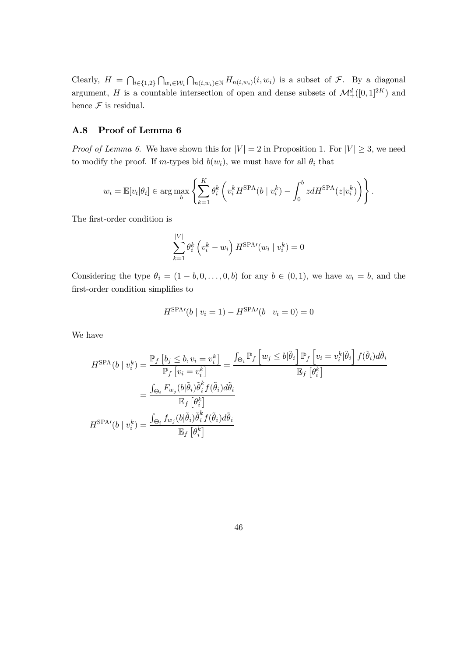Clearly,  $H = \bigcap_{i \in \{1,2\}} \bigcap_{w_i \in \mathcal{W}_i} \bigcap_{n(i,w_i) \in \mathbb{N}} H_{n(i,w_i)}(i,w_i)$  is a subset of  $\mathcal{F}$ . By a diagonal argument, H is a countable intersection of open and dense subsets of  $\mathcal{M}^d_+([0,1]^{2K})$  and hence  $\mathcal F$  is residual.

### A.8 Proof of Lemma 6

*Proof of Lemma 6.* We have shown this for  $|V| = 2$  in Proposition 1. For  $|V| \geq 3$ , we need to modify the proof. If m-types bid  $b(w_i)$ , we must have for all  $\theta_i$  that

$$
w_i = \mathbb{E}[v_i|\theta_i] \in \arg\max_b \left\{ \sum_{k=1}^K \theta_i^k \left( v_i^k H^{\text{SPA}}(b \mid v_i^k) - \int_0^b z dH^{\text{SPA}}(z|v_i^k) \right) \right\}.
$$

The first-order condition is

$$
\sum_{k=1}^{|V|} \theta_i^k \left(v_i^k - w_i\right) H^{\text{SPA}\prime}(w_i \mid v_i^k) = 0
$$

Considering the type  $\theta_i = (1 - b, 0, \ldots, 0, b)$  for any  $b \in (0, 1)$ , we have  $w_i = b$ , and the first-order condition simplifies to

$$
H^{\text{SPA}\prime}(b \mid v_i = 1) - H^{\text{SPA}\prime}(b \mid v_i = 0) = 0
$$

We have

$$
H^{\text{SPA}}(b \mid v_i^k) = \frac{\mathbb{P}_f \left[ b_j \leq b, v_i = v_i^k \right]}{\mathbb{P}_f \left[ v_i = v_i^k \right]} = \frac{\int_{\Theta_i} \mathbb{P}_f \left[ w_j \leq b | \tilde{\theta}_i \right] \mathbb{P}_f \left[ v_i = v_i^k | \tilde{\theta}_i \right] f(\tilde{\theta}_i) d\tilde{\theta}_i}{\mathbb{E}_f \left[ \theta_i^k \right]}
$$

$$
= \frac{\int_{\Theta_i} F_{w_j}(b | \tilde{\theta}_i) \tilde{\theta}_i^k f(\tilde{\theta}_i) d\tilde{\theta}_i}{\mathbb{E}_f \left[ \theta_i^k \right]}
$$

$$
H^{\text{SPA}}(b \mid v_i^k) = \frac{\int_{\Theta_i} f_{w_j}(b | \tilde{\theta}_i) \tilde{\theta}_i^k f(\tilde{\theta}_i) d\tilde{\theta}_i}{\mathbb{E}_f \left[ \theta_i^k \right]}
$$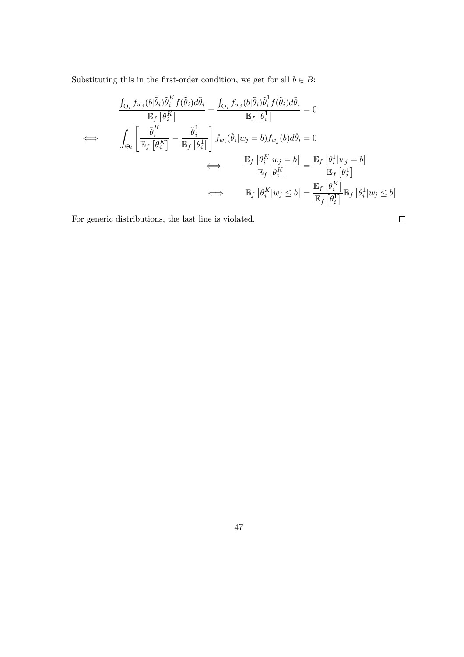Substituting this in the first-order condition, we get for all  $b \in B$ :

$$
\frac{\int_{\Theta_i} f_{w_j}(b|\tilde{\theta}_i)\tilde{\theta}_i^K f(\tilde{\theta}_i)d\tilde{\theta}_i}{\mathbb{E}_f [\theta_i^K]} - \frac{\int_{\Theta_i} f_{w_j}(b|\tilde{\theta}_i)\tilde{\theta}_i^I f(\tilde{\theta}_i)d\tilde{\theta}_i}{\mathbb{E}_f [\theta_i^1]} = 0
$$
\n
$$
\iff \quad \int_{\Theta_i} \left[ \frac{\tilde{\theta}_i^K}{\mathbb{E}_f [\theta_i^K]} - \frac{\tilde{\theta}_i^1}{\mathbb{E}_f [\theta_i^1]} \right] f_{w_i}(\tilde{\theta}_i|w_j = b) f_{w_j}(b) d\tilde{\theta}_i = 0
$$
\n
$$
\iff \quad \frac{\mathbb{E}_f [\theta_i^K | w_j = b]}{\mathbb{E}_f [\theta_i^K]} = \frac{\mathbb{E}_f [\theta_i^1 | w_j = b]}{\mathbb{E}_f [\theta_i^1]}
$$
\n
$$
\iff \quad \mathbb{E}_f [\theta_i^K | w_j \le b] = \frac{\mathbb{E}_f [\theta_i^K]}{\mathbb{E}_f [\theta_i^1]} \mathbb{E}_f [\theta_i^1 | w_j \le b]
$$

 $\Box$ 

For generic distributions, the last line is violated.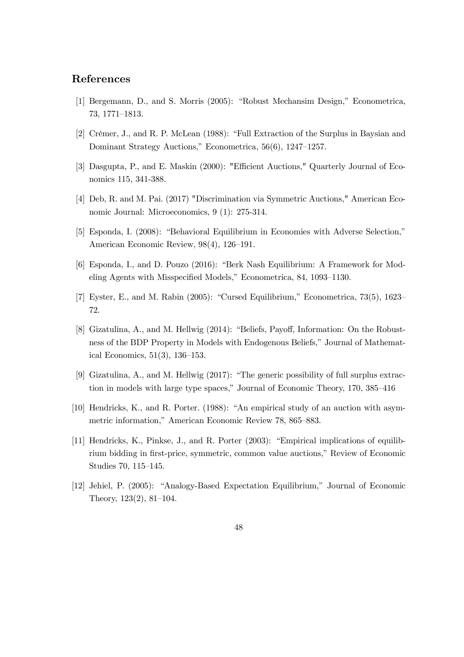# References

- [1] Bergemann, D., and S. Morris (2005): "Robust Mechansim Design," Econometrica, 73, 1771–1813.
- [2] Crémer, J., and R. P. McLean (1988): "Full Extraction of the Surplus in Baysian and Dominant Strategy Auctions," Econometrica, 56(6), 1247–1257.
- [3] Dasgupta, P., and E. Maskin (2000): "Efficient Auctions," Quarterly Journal of Economics 115, 341-388.
- [4] Deb, R. and M. Pai. (2017) "Discrimination via Symmetric Auctions," American Economic Journal: Microeconomics, 9 (1): 275-314.
- [5] Esponda, I. (2008): "Behavioral Equilibrium in Economies with Adverse Selection," American Economic Review, 98(4), 126–191.
- [6] Esponda, I., and D. Pouzo (2016): "Berk Nash Equilibrium: A Framework for Modeling Agents with Misspecified Models," Econometrica, 84, 1093-1130.
- [7] Eyster, E., and M. Rabin (2005): "Cursed Equilibrium," Econometrica, 73(5), 1623– 72.
- [8] Gizatulina, A., and M. Hellwig (2014): "Beliefs, Payoff, Information: On the Robustness of the BDP Property in Models with Endogenous Beliefs," Journal of Mathematical Economics, 51(3), 136–153.
- [9] Gizatulina, A., and M. Hellwig (2017): "The generic possibility of full surplus extraction in models with large type spaces," Journal of Economic Theory, 170, 385–416
- [10] Hendricks, K., and R. Porter. (1988): "An empirical study of an auction with asymmetric information," American Economic Review 78, 865–883.
- [11] Hendricks, K., Pinkse, J., and R. Porter (2003): "Empirical implications of equilibrium bidding in first-price, symmetric, common value auctions," Review of Economic Studies 70, 115–145.
- [12] Jehiel, P. (2005): "Analogy-Based Expectation Equilibrium," Journal of Economic Theory, 123(2), 81–104.
	- 48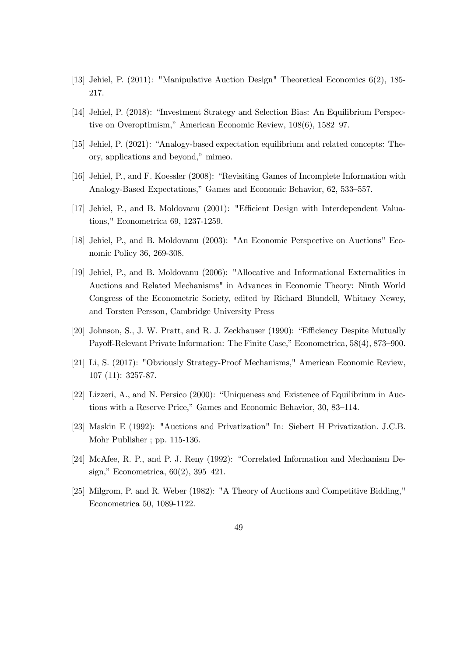- [13] Jehiel, P. (2011): "Manipulative Auction Design" Theoretical Economics 6(2), 185- 217.
- [14] Jehiel, P. (2018): "Investment Strategy and Selection Bias: An Equilibrium Perspective on Overoptimism," American Economic Review, 108(6), 1582–97.
- [15] Jehiel, P. (2021): "Analogy-based expectation equilibrium and related concepts: Theory, applications and beyond," mimeo.
- [16] Jehiel, P., and F. Koessler (2008): "Revisiting Games of Incomplete Information with Analogy-Based Expectations," Games and Economic Behavior, 62, 533–557.
- [17] Jehiel, P., and B. Moldovanu (2001): "Efficient Design with Interdependent Valuations," Econometrica 69, 1237-1259.
- [18] Jehiel, P., and B. Moldovanu (2003): "An Economic Perspective on Auctions" Economic Policy 36, 269-308.
- [19] Jehiel, P., and B. Moldovanu (2006): "Allocative and Informational Externalities in Auctions and Related Mechanisms" in Advances in Economic Theory: Ninth World Congress of the Econometric Society, edited by Richard Blundell, Whitney Newey, and Torsten Persson, Cambridge University Press
- [20] Johnson, S., J. W. Pratt, and R. J. Zeckhauser (1990): "Efficiency Despite Mutually Payoff-Relevant Private Information: The Finite Case," Econometrica, 58(4), 873–900.
- [21] Li, S. (2017): "Obviously Strategy-Proof Mechanisms," American Economic Review, 107 (11): 3257-87.
- [22] Lizzeri, A., and N. Persico (2000): "Uniqueness and Existence of Equilibrium in Auctions with a Reserve Price," Games and Economic Behavior, 30, 83–114.
- [23] Maskin E (1992): "Auctions and Privatization" In: Siebert H Privatization. J.C.B. Mohr Publisher ; pp. 115-136.
- [24] McAfee, R. P., and P. J. Reny (1992): "Correlated Information and Mechanism Design," Econometrica, 60(2), 395–421.
- [25] Milgrom, P. and R. Weber (1982): "A Theory of Auctions and Competitive Bidding," Econometrica 50, 1089-1122.